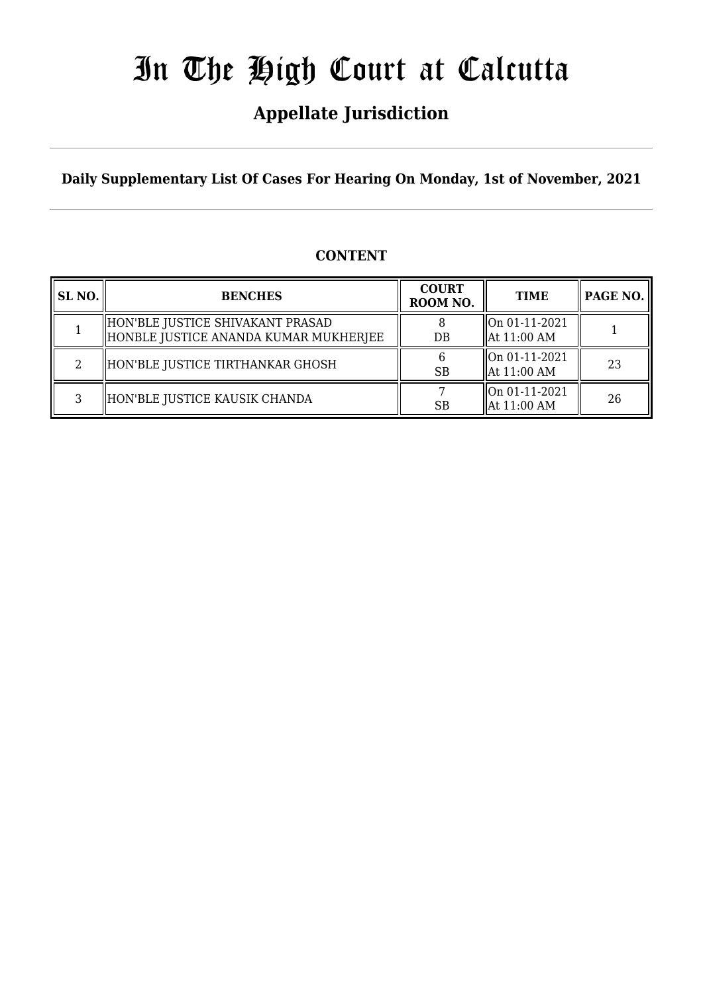## **Appellate Jurisdiction**

**Daily Supplementary List Of Cases For Hearing On Monday, 1st of November, 2021**

### **CONTENT**

| SL <sub>NO</sub> . | <b>BENCHES</b>                                                            | <b>COURT</b><br>ROOM NO. | <b>TIME</b>                                               | PAGE NO. |
|--------------------|---------------------------------------------------------------------------|--------------------------|-----------------------------------------------------------|----------|
|                    | HON'BLE JUSTICE SHIVAKANT PRASAD<br>HONBLE JUSTICE ANANDA KUMAR MUKHERJEE | DB                       | $\left\vert$ On 01-11-2021<br>$\parallel$ At 11:00 AM     |          |
| 2                  | HON'BLE JUSTICE TIRTHANKAR GHOSH                                          | <b>SB</b>                | $\lfloor$ On 01-11-2021<br>$\parallel$ At 11:00 AM        | 23       |
| 3                  | HON'BLE JUSTICE KAUSIK CHANDA                                             | <b>SB</b>                | $\sqrt{\frac{100001-11-2021}}$<br>$\parallel$ At 11:00 AM | 26       |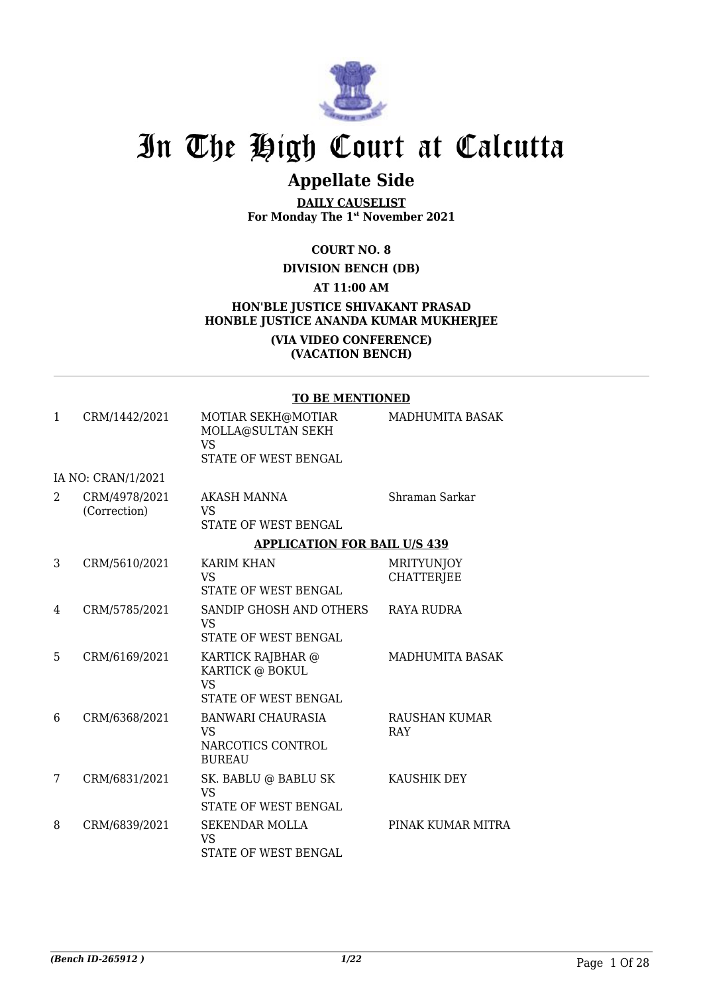

## **Appellate Side**

**DAILY CAUSELIST For Monday The 1st November 2021**

#### **COURT NO. 8**

#### **DIVISION BENCH (DB)**

#### **AT 11:00 AM**

#### **HON'BLE JUSTICE SHIVAKANT PRASAD HONBLE JUSTICE ANANDA KUMAR MUKHERJEE**

#### **(VIA VIDEO CONFERENCE) (VACATION BENCH)**

#### **TO BE MENTIONED**

| $\mathbf{1}$   | CRM/1442/2021                 | MOTIAR SEKH@MOTIAR<br>MOLLA@SULTAN SEKH<br>VS<br>STATE OF WEST BENGAL     | MADHUMITA BASAK                        |
|----------------|-------------------------------|---------------------------------------------------------------------------|----------------------------------------|
|                | IA NO: CRAN/1/2021            |                                                                           |                                        |
| $\overline{2}$ | CRM/4978/2021<br>(Correction) | AKASH MANNA<br>VS<br>STATE OF WEST BENGAL                                 | Shraman Sarkar                         |
|                |                               | <b>APPLICATION FOR BAIL U/S 439</b>                                       |                                        |
| 3              | CRM/5610/2021                 | <b>KARIM KHAN</b><br>VS<br><b>STATE OF WEST BENGAL</b>                    | <b>MRITYUNJOY</b><br><b>CHATTERJEE</b> |
| 4              | CRM/5785/2021                 | SANDIP GHOSH AND OTHERS<br>VS<br>STATE OF WEST BENGAL                     | <b>RAYA RUDRA</b>                      |
| 5              | CRM/6169/2021                 | KARTICK RAJBHAR @<br>KARTICK @ BOKUL<br><b>VS</b><br>STATE OF WEST BENGAL | MADHUMITA BASAK                        |
| 6              | CRM/6368/2021                 | BANWARI CHAURASIA<br><b>VS</b><br>NARCOTICS CONTROL<br><b>BUREAU</b>      | RAUSHAN KUMAR<br><b>RAY</b>            |
| 7              | CRM/6831/2021                 | SK. BABLU @ BABLU SK<br><b>VS</b><br>STATE OF WEST BENGAL                 | KAUSHIK DEY                            |
| 8              | CRM/6839/2021                 | <b>SEKENDAR MOLLA</b><br><b>VS</b><br>STATE OF WEST BENGAL                | PINAK KUMAR MITRA                      |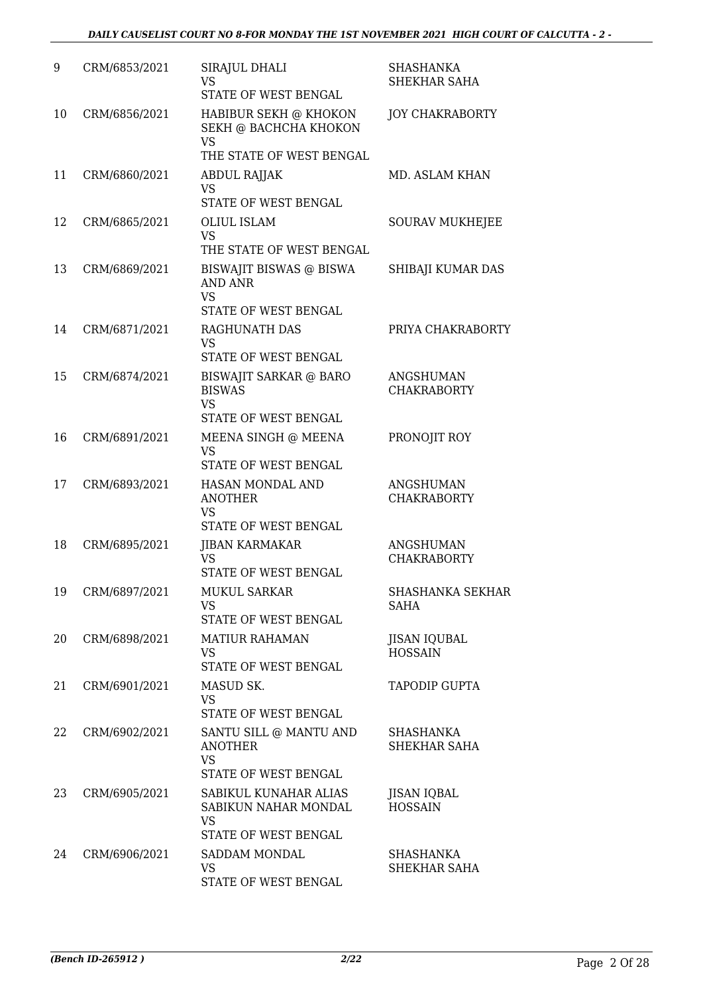| 9  | CRM/6853/2021 | SIRAJUL DHALI<br>VS<br>STATE OF WEST BENGAL                                   | <b>SHASHANKA</b><br>SHEKHAR SAHA       |
|----|---------------|-------------------------------------------------------------------------------|----------------------------------------|
| 10 | CRM/6856/2021 | HABIBUR SEKH @ KHOKON<br>SEKH @ BACHCHA KHOKON<br><b>VS</b>                   | <b>JOY CHAKRABORTY</b>                 |
|    |               | THE STATE OF WEST BENGAL                                                      |                                        |
| 11 | CRM/6860/2021 | <b>ABDUL RAJJAK</b><br><b>VS</b><br>STATE OF WEST BENGAL                      | MD. ASLAM KHAN                         |
| 12 | CRM/6865/2021 | <b>OLIUL ISLAM</b>                                                            | <b>SOURAV MUKHEJEE</b>                 |
|    |               | <b>VS</b><br>THE STATE OF WEST BENGAL                                         |                                        |
| 13 | CRM/6869/2021 | BISWAJIT BISWAS @ BISWA<br><b>AND ANR</b>                                     | SHIBAJI KUMAR DAS                      |
|    |               | <b>VS</b><br>STATE OF WEST BENGAL                                             |                                        |
| 14 | CRM/6871/2021 | RAGHUNATH DAS                                                                 | PRIYA CHAKRABORTY                      |
|    |               | <b>VS</b><br>STATE OF WEST BENGAL                                             |                                        |
| 15 | CRM/6874/2021 | <b>BISWAJIT SARKAR @ BARO</b>                                                 | <b>ANGSHUMAN</b>                       |
|    |               | <b>BISWAS</b><br><b>VS</b><br>STATE OF WEST BENGAL                            | <b>CHAKRABORTY</b>                     |
| 16 | CRM/6891/2021 | MEENA SINGH @ MEENA                                                           | PRONOJIT ROY                           |
|    |               | <b>VS</b><br>STATE OF WEST BENGAL                                             |                                        |
| 17 | CRM/6893/2021 | HASAN MONDAL AND<br><b>ANOTHER</b><br><b>VS</b>                               | <b>ANGSHUMAN</b><br><b>CHAKRABORTY</b> |
|    |               | STATE OF WEST BENGAL                                                          |                                        |
| 18 | CRM/6895/2021 | <b>JIBAN KARMAKAR</b><br>VS<br>STATE OF WEST BENGAL                           | <b>ANGSHUMAN</b><br><b>CHAKRABORTY</b> |
| 19 | CRM/6897/2021 | <b>MUKUL SARKAR</b>                                                           | SHASHANKA SEKHAR                       |
|    |               | <b>VS</b><br>STATE OF WEST BENGAL                                             | <b>SAHA</b>                            |
| 20 | CRM/6898/2021 | <b>MATIUR RAHAMAN</b>                                                         | <b>JISAN IQUBAL</b>                    |
|    |               | VS.<br>STATE OF WEST BENGAL                                                   | <b>HOSSAIN</b>                         |
| 21 | CRM/6901/2021 | MASUD SK.                                                                     | TAPODIP GUPTA                          |
|    |               | VS<br>STATE OF WEST BENGAL                                                    |                                        |
| 22 | CRM/6902/2021 | SANTU SILL @ MANTU AND<br><b>ANOTHER</b><br><b>VS</b><br>STATE OF WEST BENGAL | SHASHANKA<br>SHEKHAR SAHA              |
| 23 | CRM/6905/2021 | SABIKUL KUNAHAR ALIAS<br>SABIKUN NAHAR MONDAL                                 | JISAN IQBAL<br><b>HOSSAIN</b>          |
|    |               | VS<br>STATE OF WEST BENGAL                                                    |                                        |
| 24 | CRM/6906/2021 | SADDAM MONDAL                                                                 | SHASHANKA                              |
|    |               | VS<br>STATE OF WEST BENGAL                                                    | SHEKHAR SAHA                           |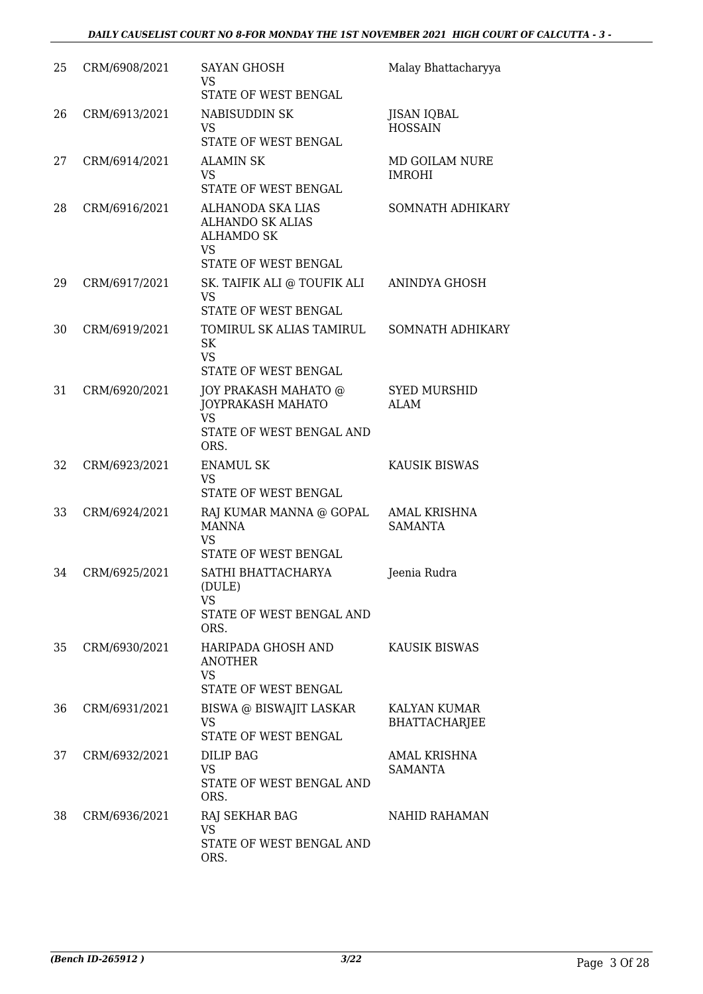| 25 | CRM/6908/2021 | <b>SAYAN GHOSH</b><br>VS<br>STATE OF WEST BENGAL                                                | Malay Bhattacharyya                   |
|----|---------------|-------------------------------------------------------------------------------------------------|---------------------------------------|
| 26 | CRM/6913/2021 | NABISUDDIN SK<br>VS<br>STATE OF WEST BENGAL                                                     | <b>JISAN IQBAL</b><br><b>HOSSAIN</b>  |
| 27 | CRM/6914/2021 | <b>ALAMIN SK</b><br><b>VS</b><br>STATE OF WEST BENGAL                                           | MD GOILAM NURE<br><b>IMROHI</b>       |
| 28 | CRM/6916/2021 | ALHANODA SKA LIAS<br><b>ALHANDO SK ALIAS</b><br><b>ALHAMDO SK</b><br>VS<br>STATE OF WEST BENGAL | SOMNATH ADHIKARY                      |
| 29 | CRM/6917/2021 | SK. TAIFIK ALI @ TOUFIK ALI<br><b>VS</b><br>STATE OF WEST BENGAL                                | ANINDYA GHOSH                         |
| 30 | CRM/6919/2021 | TOMIRUL SK ALIAS TAMIRUL<br><b>SK</b><br><b>VS</b><br>STATE OF WEST BENGAL                      | SOMNATH ADHIKARY                      |
| 31 | CRM/6920/2021 | JOY PRAKASH MAHATO @<br>JOYPRAKASH MAHATO<br><b>VS</b><br>STATE OF WEST BENGAL AND<br>ORS.      | <b>SYED MURSHID</b><br>ALAM           |
| 32 | CRM/6923/2021 | <b>ENAMUL SK</b><br><b>VS</b><br>STATE OF WEST BENGAL                                           | <b>KAUSIK BISWAS</b>                  |
| 33 | CRM/6924/2021 | RAJ KUMAR MANNA @ GOPAL<br><b>MANNA</b><br><b>VS</b><br>STATE OF WEST BENGAL                    | <b>AMAL KRISHNA</b><br><b>SAMANTA</b> |
| 34 | CRM/6925/2021 | SATHI BHATTACHARYA<br>(DULE)<br>VS<br>STATE OF WEST BENGAL AND<br>ORS.                          | Jeenia Rudra                          |
| 35 | CRM/6930/2021 | HARIPADA GHOSH AND<br><b>ANOTHER</b><br><b>VS</b><br>STATE OF WEST BENGAL                       | <b>KAUSIK BISWAS</b>                  |
| 36 | CRM/6931/2021 | BISWA @ BISWAJIT LASKAR<br>VS<br>STATE OF WEST BENGAL                                           | KALYAN KUMAR<br><b>BHATTACHARJEE</b>  |
| 37 | CRM/6932/2021 | DILIP BAG<br>VS<br>STATE OF WEST BENGAL AND<br>ORS.                                             | AMAL KRISHNA<br><b>SAMANTA</b>        |
| 38 | CRM/6936/2021 | <b>RAJ SEKHAR BAG</b><br><b>VS</b><br>STATE OF WEST BENGAL AND<br>ORS.                          | <b>NAHID RAHAMAN</b>                  |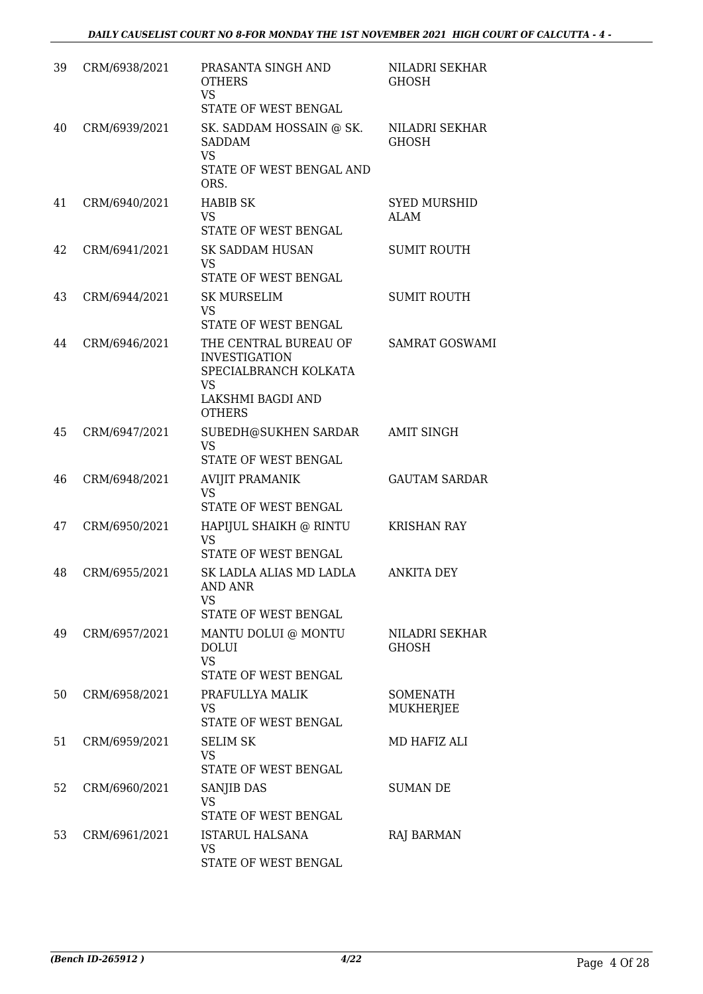| 39 | CRM/6938/2021 | PRASANTA SINGH AND<br><b>OTHERS</b><br><b>VS</b><br>STATE OF WEST BENGAL                                                  | NILADRI SEKHAR<br><b>GHOSH</b> |
|----|---------------|---------------------------------------------------------------------------------------------------------------------------|--------------------------------|
| 40 | CRM/6939/2021 | SK. SADDAM HOSSAIN @ SK.<br><b>SADDAM</b><br><b>VS</b><br>STATE OF WEST BENGAL AND<br>ORS.                                | NILADRI SEKHAR<br>GHOSH        |
| 41 | CRM/6940/2021 | <b>HABIB SK</b><br><b>VS</b><br>STATE OF WEST BENGAL                                                                      | <b>SYED MURSHID</b><br>ALAM    |
| 42 | CRM/6941/2021 | <b>SK SADDAM HUSAN</b><br><b>VS</b><br>STATE OF WEST BENGAL                                                               | <b>SUMIT ROUTH</b>             |
| 43 | CRM/6944/2021 | <b>SK MURSELIM</b><br><b>VS</b><br>STATE OF WEST BENGAL                                                                   | <b>SUMIT ROUTH</b>             |
| 44 | CRM/6946/2021 | THE CENTRAL BUREAU OF<br><b>INVESTIGATION</b><br>SPECIALBRANCH KOLKATA<br><b>VS</b><br>LAKSHMI BAGDI AND<br><b>OTHERS</b> | <b>SAMRAT GOSWAMI</b>          |
| 45 | CRM/6947/2021 | SUBEDH@SUKHEN SARDAR<br><b>VS</b><br>STATE OF WEST BENGAL                                                                 | <b>AMIT SINGH</b>              |
| 46 | CRM/6948/2021 | <b>AVIJIT PRAMANIK</b><br><b>VS</b><br>STATE OF WEST BENGAL                                                               | <b>GAUTAM SARDAR</b>           |
| 47 | CRM/6950/2021 | HAPIJUL SHAIKH @ RINTU<br><b>VS</b><br>STATE OF WEST BENGAL                                                               | <b>KRISHAN RAY</b>             |
| 48 | CRM/6955/2021 | SK LADLA ALIAS MD LADLA<br>AND ANR<br><b>VS</b><br>STATE OF WEST BENGAL                                                   | <b>ANKITA DEY</b>              |
| 49 | CRM/6957/2021 | MANTU DOLUI @ MONTU<br>$\operatorname{DOLUI}$<br><b>VS</b><br>STATE OF WEST BENGAL                                        | NILADRI SEKHAR<br><b>GHOSH</b> |
| 50 | CRM/6958/2021 | PRAFULLYA MALIK<br>VS<br>STATE OF WEST BENGAL                                                                             | SOMENATH<br>MUKHERJEE          |
| 51 | CRM/6959/2021 | <b>SELIM SK</b><br><b>VS</b><br>STATE OF WEST BENGAL                                                                      | MD HAFIZ ALI                   |
| 52 | CRM/6960/2021 | SANJIB DAS<br><b>VS</b><br>STATE OF WEST BENGAL                                                                           | <b>SUMAN DE</b>                |
| 53 | CRM/6961/2021 | <b>ISTARUL HALSANA</b><br><b>VS</b><br>STATE OF WEST BENGAL                                                               | RAJ BARMAN                     |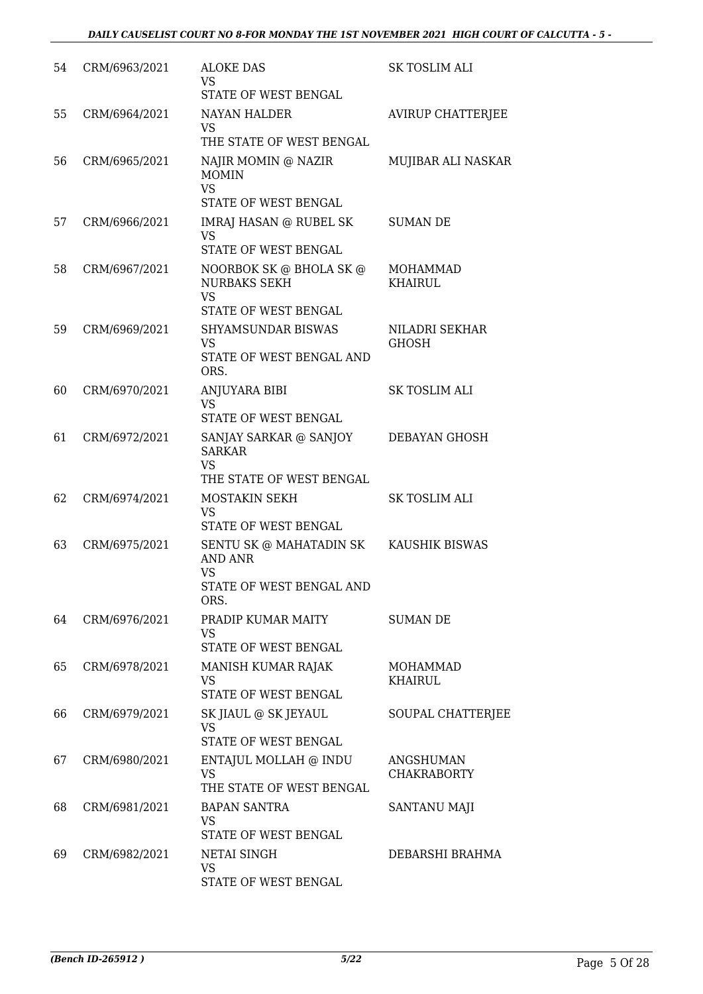| 54 | CRM/6963/2021 | <b>ALOKE DAS</b><br><b>VS</b>                                                                             | <b>SK TOSLIM ALI</b>              |
|----|---------------|-----------------------------------------------------------------------------------------------------------|-----------------------------------|
|    |               | STATE OF WEST BENGAL                                                                                      |                                   |
| 55 | CRM/6964/2021 | <b>NAYAN HALDER</b><br>VS.                                                                                | AVIRUP CHATTERJEE                 |
|    |               | THE STATE OF WEST BENGAL                                                                                  |                                   |
| 56 | CRM/6965/2021 | NAJIR MOMIN @ NAZIR<br><b>MOMIN</b><br><b>VS</b><br><b>STATE OF WEST BENGAL</b>                           | MUJIBAR ALI NASKAR                |
| 57 | CRM/6966/2021 | <b>IMRAJ HASAN @ RUBEL SK</b><br><b>VS</b><br>STATE OF WEST BENGAL                                        | SUMAN DE                          |
| 58 | CRM/6967/2021 | NOORBOK SK @ BHOLA SK @<br><b>NURBAKS SEKH</b><br><b>VS</b>                                               | <b>MOHAMMAD</b><br><b>KHAIRUL</b> |
|    |               | STATE OF WEST BENGAL                                                                                      |                                   |
| 59 | CRM/6969/2021 | <b>SHYAMSUNDAR BISWAS</b><br><b>VS</b><br>STATE OF WEST BENGAL AND<br>ORS.                                | NILADRI SEKHAR<br><b>GHOSH</b>    |
| 60 | CRM/6970/2021 | ANJUYARA BIBI<br><b>VS</b><br>STATE OF WEST BENGAL                                                        | SK TOSLIM ALI                     |
|    |               |                                                                                                           |                                   |
| 61 | CRM/6972/2021 | SANJAY SARKAR @ SANJOY<br><b>SARKAR</b><br><b>VS</b><br>THE STATE OF WEST BENGAL                          | DEBAYAN GHOSH                     |
| 62 | CRM/6974/2021 | MOSTAKIN SEKH<br><b>VS</b>                                                                                | SK TOSLIM ALI                     |
|    |               | STATE OF WEST BENGAL                                                                                      |                                   |
| 63 | CRM/6975/2021 | SENTU SK @ MAHATADIN SK KAUSHIK BISWAS<br><b>AND ANR</b><br><b>VS</b><br>STATE OF WEST BENGAL AND<br>ORS. |                                   |
| 64 | CRM/6976/2021 | PRADIP KUMAR MAITY                                                                                        | <b>SUMAN DE</b>                   |
|    |               | VS<br><b>STATE OF WEST BENGAL</b>                                                                         |                                   |
| 65 | CRM/6978/2021 | MANISH KUMAR RAJAK<br><b>VS</b><br>STATE OF WEST BENGAL                                                   | MOHAMMAD<br><b>KHAIRUL</b>        |
|    |               |                                                                                                           |                                   |
| 66 | CRM/6979/2021 | SK JIAUL @ SK JEYAUL<br><b>VS</b><br>STATE OF WEST BENGAL                                                 | SOUPAL CHATTERJEE                 |
| 67 | CRM/6980/2021 | ENTAJUL MOLLAH @ INDU<br><b>VS</b><br>THE STATE OF WEST BENGAL                                            | ANGSHUMAN<br><b>CHAKRABORTY</b>   |
| 68 | CRM/6981/2021 | <b>BAPAN SANTRA</b><br><b>VS</b>                                                                          | SANTANU MAJI                      |
|    |               | STATE OF WEST BENGAL                                                                                      |                                   |
| 69 | CRM/6982/2021 | <b>NETAI SINGH</b><br>VS<br>STATE OF WEST BENGAL                                                          | DEBARSHI BRAHMA                   |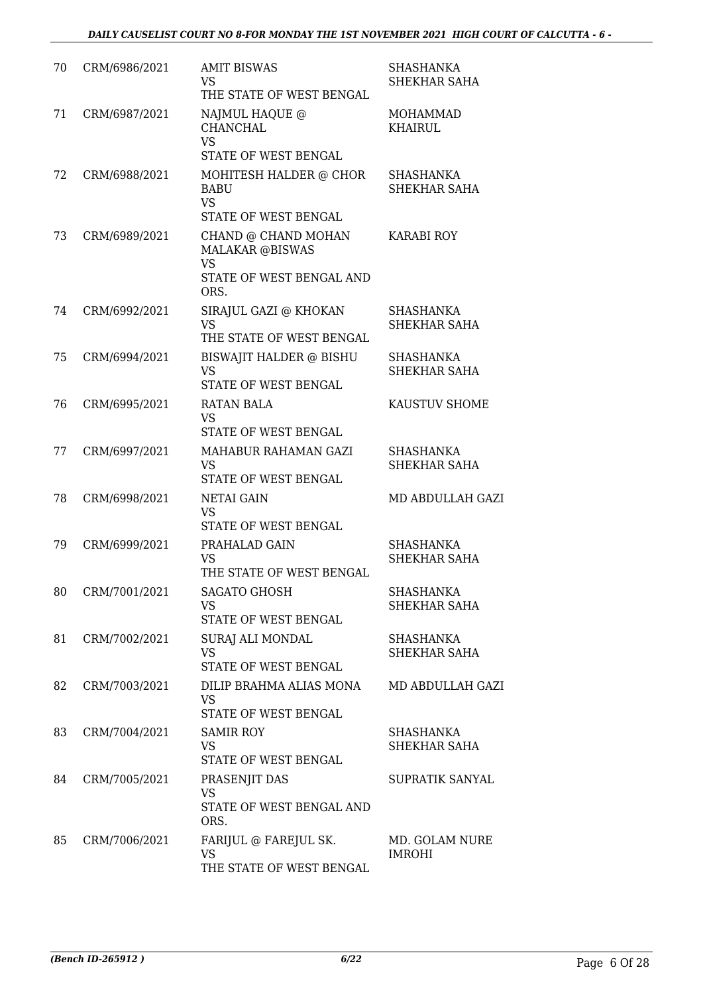| 70 | CRM/6986/2021 | <b>AMIT BISWAS</b><br>VS<br>THE STATE OF WEST BENGAL                                           | <b>SHASHANKA</b><br>SHEKHAR SAHA  |
|----|---------------|------------------------------------------------------------------------------------------------|-----------------------------------|
| 71 | CRM/6987/2021 | NAJMUL HAQUE @<br>CHANCHAL<br><b>VS</b>                                                        | <b>MOHAMMAD</b><br><b>KHAIRUL</b> |
|    |               | STATE OF WEST BENGAL                                                                           |                                   |
| 72 | CRM/6988/2021 | MOHITESH HALDER @ CHOR<br><b>BABU</b><br><b>VS</b><br>STATE OF WEST BENGAL                     | <b>SHASHANKA</b><br>SHEKHAR SAHA  |
| 73 | CRM/6989/2021 | CHAND @ CHAND MOHAN<br><b>MALAKAR @BISWAS</b><br><b>VS</b><br>STATE OF WEST BENGAL AND<br>ORS. | <b>KARABI ROY</b>                 |
| 74 | CRM/6992/2021 | SIRAJUL GAZI @ KHOKAN<br><b>VS</b><br>THE STATE OF WEST BENGAL                                 | SHASHANKA<br><b>SHEKHAR SAHA</b>  |
| 75 | CRM/6994/2021 | <b>BISWAJIT HALDER @ BISHU</b><br><b>VS</b><br><b>STATE OF WEST BENGAL</b>                     | SHASHANKA<br>SHEKHAR SAHA         |
| 76 | CRM/6995/2021 | RATAN BALA<br><b>VS</b><br>STATE OF WEST BENGAL                                                | KAUSTUV SHOME                     |
| 77 | CRM/6997/2021 | MAHABUR RAHAMAN GAZI<br><b>VS</b><br>STATE OF WEST BENGAL                                      | SHASHANKA<br>SHEKHAR SAHA         |
| 78 | CRM/6998/2021 | <b>NETAI GAIN</b><br><b>VS</b><br>STATE OF WEST BENGAL                                         | MD ABDULLAH GAZI                  |
| 79 | CRM/6999/2021 | PRAHALAD GAIN<br><b>VS</b><br>THE STATE OF WEST BENGAL                                         | SHASHANKA<br>SHEKHAR SAHA         |
| 80 | CRM/7001/2021 | <b>SAGATO GHOSH</b><br><b>VS</b><br>STATE OF WEST BENGAL                                       | <b>SHASHANKA</b><br>SHEKHAR SAHA  |
| 81 | CRM/7002/2021 | SURAJ ALI MONDAL<br>VS<br>STATE OF WEST BENGAL                                                 | SHASHANKA<br>SHEKHAR SAHA         |
| 82 | CRM/7003/2021 | DILIP BRAHMA ALIAS MONA<br><b>VS</b><br>STATE OF WEST BENGAL                                   | MD ABDULLAH GAZI                  |
| 83 | CRM/7004/2021 | <b>SAMIR ROY</b><br><b>VS</b><br>STATE OF WEST BENGAL                                          | SHASHANKA<br>SHEKHAR SAHA         |
| 84 | CRM/7005/2021 | PRASENJIT DAS<br><b>VS</b><br>STATE OF WEST BENGAL AND<br>ORS.                                 | SUPRATIK SANYAL                   |
| 85 | CRM/7006/2021 | FARIJUL @ FAREJUL SK.<br><b>VS</b><br>THE STATE OF WEST BENGAL                                 | MD. GOLAM NURE<br><b>IMROHI</b>   |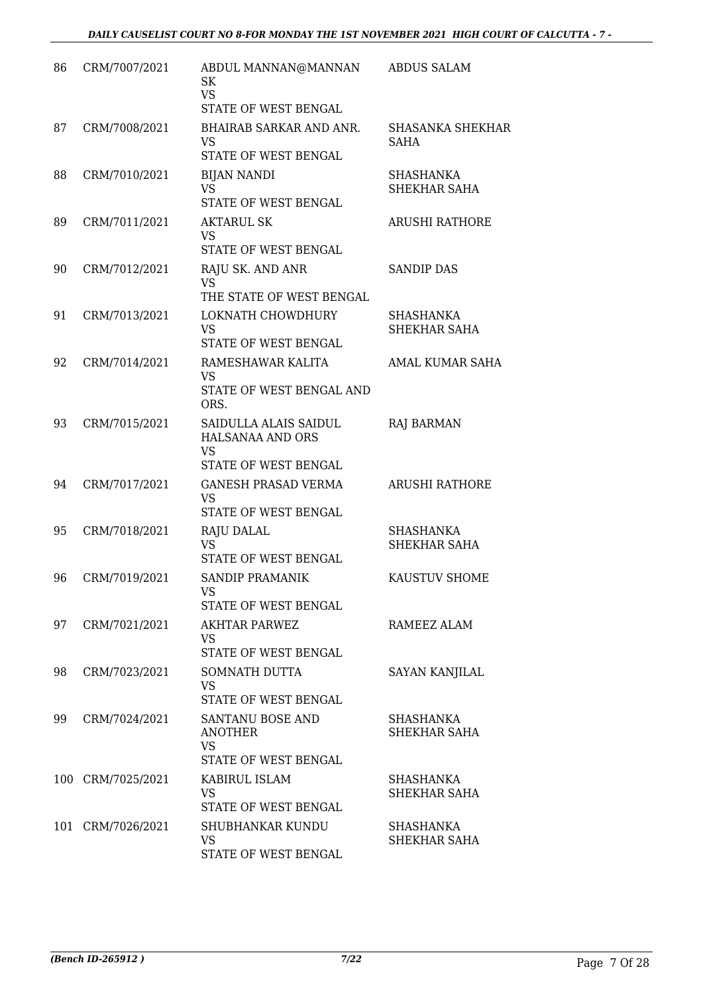| 86  | CRM/7007/2021     | ABDUL MANNAN@MANNAN<br>SK<br><b>VS</b><br>STATE OF WEST BENGAL          | <b>ABDUS SALAM</b>               |
|-----|-------------------|-------------------------------------------------------------------------|----------------------------------|
| 87  | CRM/7008/2021     | <b>BHAIRAB SARKAR AND ANR.</b><br>VS.<br>STATE OF WEST BENGAL           | <b>SHASANKA SHEKHAR</b><br>SAHA  |
| 88  | CRM/7010/2021     | <b>BIJAN NANDI</b><br><b>VS</b><br>STATE OF WEST BENGAL                 | <b>SHASHANKA</b><br>SHEKHAR SAHA |
| 89  | CRM/7011/2021     | <b>AKTARUL SK</b><br><b>VS</b><br>STATE OF WEST BENGAL                  | <b>ARUSHI RATHORE</b>            |
| 90  | CRM/7012/2021     | RAJU SK. AND ANR<br><b>VS</b><br>THE STATE OF WEST BENGAL               | <b>SANDIP DAS</b>                |
| 91  | CRM/7013/2021     | LOKNATH CHOWDHURY<br><b>VS</b><br>STATE OF WEST BENGAL                  | <b>SHASHANKA</b><br>SHEKHAR SAHA |
| 92  | CRM/7014/2021     | RAMESHAWAR KALITA<br><b>VS</b><br>STATE OF WEST BENGAL AND<br>ORS.      | AMAL KUMAR SAHA                  |
| 93  | CRM/7015/2021     | SAIDULLA ALAIS SAIDUL<br>HALSANAA AND ORS<br>VS<br>STATE OF WEST BENGAL | <b>RAJ BARMAN</b>                |
| 94  | CRM/7017/2021     | <b>GANESH PRASAD VERMA</b><br><b>VS</b><br>STATE OF WEST BENGAL         | <b>ARUSHI RATHORE</b>            |
| 95  | CRM/7018/2021     | RAJU DALAL<br><b>VS</b><br>STATE OF WEST BENGAL                         | <b>SHASHANKA</b><br>SHEKHAR SAHA |
| 96  | CRM/7019/2021     | SANDIP PRAMANIK<br>VS<br>STATE OF WEST BENGAL                           | KAUSTUV SHOME                    |
| 97  | CRM/7021/2021     | <b>AKHTAR PARWEZ</b><br>VS<br>STATE OF WEST BENGAL                      | RAMEEZ ALAM                      |
| 98  | CRM/7023/2021     | SOMNATH DUTTA<br>VS<br>STATE OF WEST BENGAL                             | SAYAN KANJILAL                   |
| 99  | CRM/7024/2021     | SANTANU BOSE AND<br><b>ANOTHER</b><br><b>VS</b><br>STATE OF WEST BENGAL | SHASHANKA<br>SHEKHAR SAHA        |
| 100 | CRM/7025/2021     | KABIRUL ISLAM<br><b>VS</b><br>STATE OF WEST BENGAL                      | SHASHANKA<br>SHEKHAR SAHA        |
|     | 101 CRM/7026/2021 | <b>SHUBHANKAR KUNDU</b><br>VS<br>STATE OF WEST BENGAL                   | SHASHANKA<br>SHEKHAR SAHA        |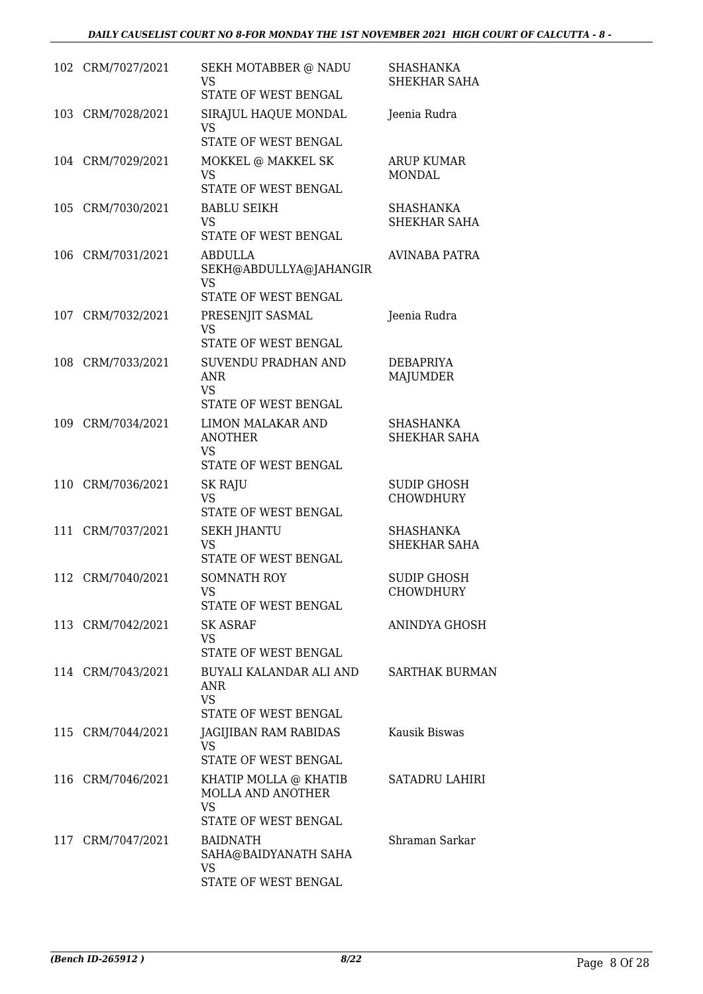|     | 102 CRM/7027/2021 | SEKH MOTABBER @ NADU<br><b>VS</b><br>STATE OF WEST BENGAL                       | SHASHANKA<br>SHEKHAR SAHA          |
|-----|-------------------|---------------------------------------------------------------------------------|------------------------------------|
| 103 | CRM/7028/2021     | SIRAJUL HAQUE MONDAL<br>VS<br>STATE OF WEST BENGAL                              | Jeenia Rudra                       |
|     | 104 CRM/7029/2021 | MOKKEL @ MAKKEL SK<br><b>VS</b><br>STATE OF WEST BENGAL                         | <b>ARUP KUMAR</b><br><b>MONDAL</b> |
| 105 | CRM/7030/2021     | <b>BABLU SEIKH</b><br><b>VS</b><br>STATE OF WEST BENGAL                         | SHASHANKA<br><b>SHEKHAR SAHA</b>   |
| 106 | CRM/7031/2021     | ABDULLA<br>SEKH@ABDULLYA@JAHANGIR<br><b>VS</b><br>STATE OF WEST BENGAL          | <b>AVINABA PATRA</b>               |
| 107 | CRM/7032/2021     | PRESENJIT SASMAL<br><b>VS</b><br>STATE OF WEST BENGAL                           | Jeenia Rudra                       |
| 108 | CRM/7033/2021     | SUVENDU PRADHAN AND<br><b>ANR</b><br><b>VS</b><br>STATE OF WEST BENGAL          | DEBAPRIYA<br><b>MAJUMDER</b>       |
| 109 | CRM/7034/2021     | <b>LIMON MALAKAR AND</b><br><b>ANOTHER</b><br><b>VS</b><br>STATE OF WEST BENGAL | SHASHANKA<br>SHEKHAR SAHA          |
| 110 | CRM/7036/2021     | SK RAJU<br><b>VS</b><br>STATE OF WEST BENGAL                                    | SUDIP GHOSH<br><b>CHOWDHURY</b>    |
| 111 | CRM/7037/2021     | <b>SEKH JHANTU</b><br><b>VS</b><br>STATE OF WEST BENGAL                         | <b>SHASHANKA</b><br>SHEKHAR SAHA   |
| 112 | CRM/7040/2021     | SOMNATH ROY<br>VS<br>STATE OF WEST BENGAL                                       | SUDIP GHOSH<br><b>CHOWDHURY</b>    |
|     | 113 CRM/7042/2021 | SK ASRAF<br>VS<br>STATE OF WEST BENGAL                                          | ANINDYA GHOSH                      |
|     | 114 CRM/7043/2021 | BUYALI KALANDAR ALI AND<br>ANR<br><b>VS</b><br>STATE OF WEST BENGAL             | <b>SARTHAK BURMAN</b>              |
|     | 115 CRM/7044/2021 | JAGIJIBAN RAM RABIDAS<br>VS.<br>STATE OF WEST BENGAL                            | Kausik Biswas                      |
|     | 116 CRM/7046/2021 | KHATIP MOLLA @ KHATIB<br>MOLLA AND ANOTHER<br><b>VS</b><br>STATE OF WEST BENGAL | SATADRU LAHIRI                     |
|     | 117 CRM/7047/2021 | <b>BAIDNATH</b><br>SAHA@BAIDYANATH SAHA<br>VS<br>STATE OF WEST BENGAL           | Shraman Sarkar                     |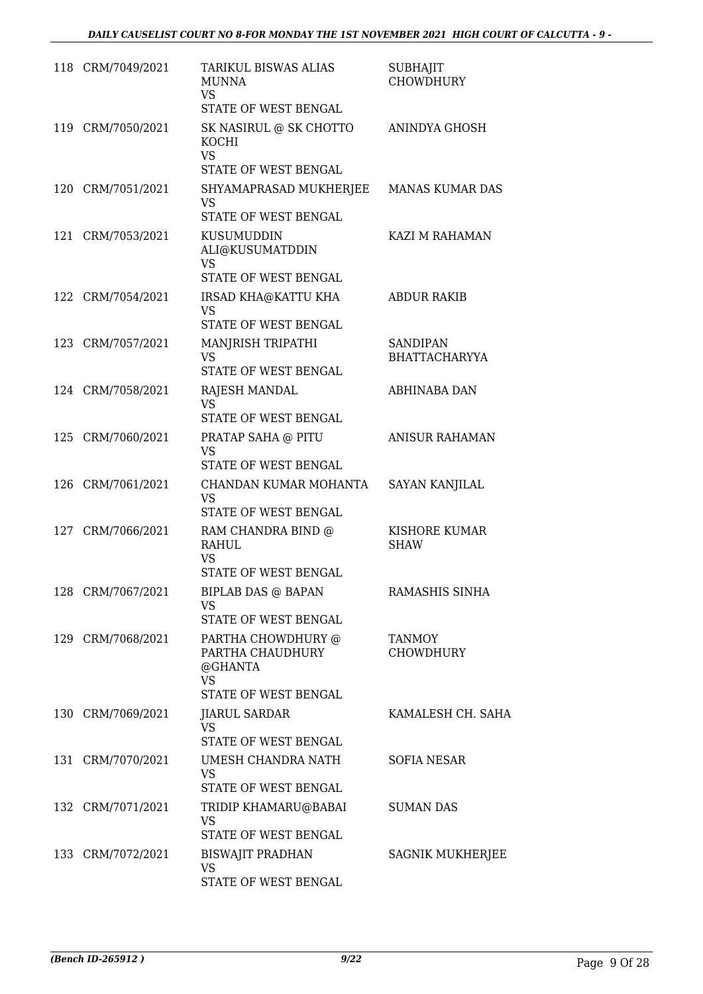|     | 118 CRM/7049/2021 | <b>TARIKUL BISWAS ALIAS</b><br><b>MUNNA</b><br><b>VS</b><br>STATE OF WEST BENGAL | <b>SUBHAJIT</b><br><b>CHOWDHURY</b> |
|-----|-------------------|----------------------------------------------------------------------------------|-------------------------------------|
|     |                   |                                                                                  |                                     |
| 119 | CRM/7050/2021     | SK NASIRUL @ SK CHOTTO<br>KOCHI<br><b>VS</b>                                     | ANINDYA GHOSH                       |
|     |                   | STATE OF WEST BENGAL                                                             |                                     |
|     | 120 CRM/7051/2021 | SHYAMAPRASAD MUKHERJEE<br><b>VS</b><br>STATE OF WEST BENGAL                      | <b>MANAS KUMAR DAS</b>              |
| 121 | CRM/7053/2021     | KUSUMUDDIN<br>ALI@KUSUMATDDIN                                                    | KAZI M RAHAMAN                      |
|     |                   | <b>VS</b><br>STATE OF WEST BENGAL                                                |                                     |
|     | CRM/7054/2021     |                                                                                  |                                     |
| 122 |                   | IRSAD KHA@KATTU KHA<br>VS<br>STATE OF WEST BENGAL                                | <b>ABDUR RAKIB</b>                  |
|     | 123 CRM/7057/2021 | MANJRISH TRIPATHI                                                                | <b>SANDIPAN</b>                     |
|     |                   | <b>VS</b><br>STATE OF WEST BENGAL                                                | <b>BHATTACHARYYA</b>                |
|     | 124 CRM/7058/2021 | RAJESH MANDAL                                                                    | <b>ABHINABA DAN</b>                 |
|     |                   | VS<br>STATE OF WEST BENGAL                                                       |                                     |
|     | 125 CRM/7060/2021 | PRATAP SAHA @ PITU                                                               | <b>ANISUR RAHAMAN</b>               |
|     |                   | <b>VS</b><br>STATE OF WEST BENGAL                                                |                                     |
| 126 | CRM/7061/2021     | CHANDAN KUMAR MOHANTA                                                            | SAYAN KANJILAL                      |
|     |                   | <b>VS</b><br>STATE OF WEST BENGAL                                                |                                     |
|     | 127 CRM/7066/2021 | RAM CHANDRA BIND @                                                               | KISHORE KUMAR                       |
|     |                   | RAHUL                                                                            | SHAW                                |
|     |                   | <b>VS</b><br>STATE OF WEST BENGAL                                                |                                     |
|     | 128 CRM/7067/2021 | BIPLAB DAS @ BAPAN                                                               | RAMASHIS SINHA                      |
|     |                   | <b>VS</b>                                                                        |                                     |
|     |                   | STATE OF WEST BENGAL                                                             |                                     |
|     | 129 CRM/7068/2021 | PARTHA CHOWDHURY @<br>PARTHA CHAUDHURY<br>@GHANTA<br>VS                          | <b>TANMOY</b><br>CHOWDHURY          |
|     |                   | STATE OF WEST BENGAL                                                             |                                     |
|     | 130 CRM/7069/2021 | <b>JIARUL SARDAR</b><br>VS.                                                      | KAMALESH CH. SAHA                   |
|     |                   | STATE OF WEST BENGAL                                                             |                                     |
|     | 131 CRM/7070/2021 | UMESH CHANDRA NATH<br>VS.<br>STATE OF WEST BENGAL                                | SOFIA NESAR                         |
|     | 132 CRM/7071/2021 | TRIDIP KHAMARU@BABAI                                                             | <b>SUMAN DAS</b>                    |
|     |                   | VS<br>STATE OF WEST BENGAL                                                       |                                     |
|     | 133 CRM/7072/2021 | BISWAJIT PRADHAN                                                                 | SAGNIK MUKHERJEE                    |
|     |                   | VS<br>STATE OF WEST BENGAL                                                       |                                     |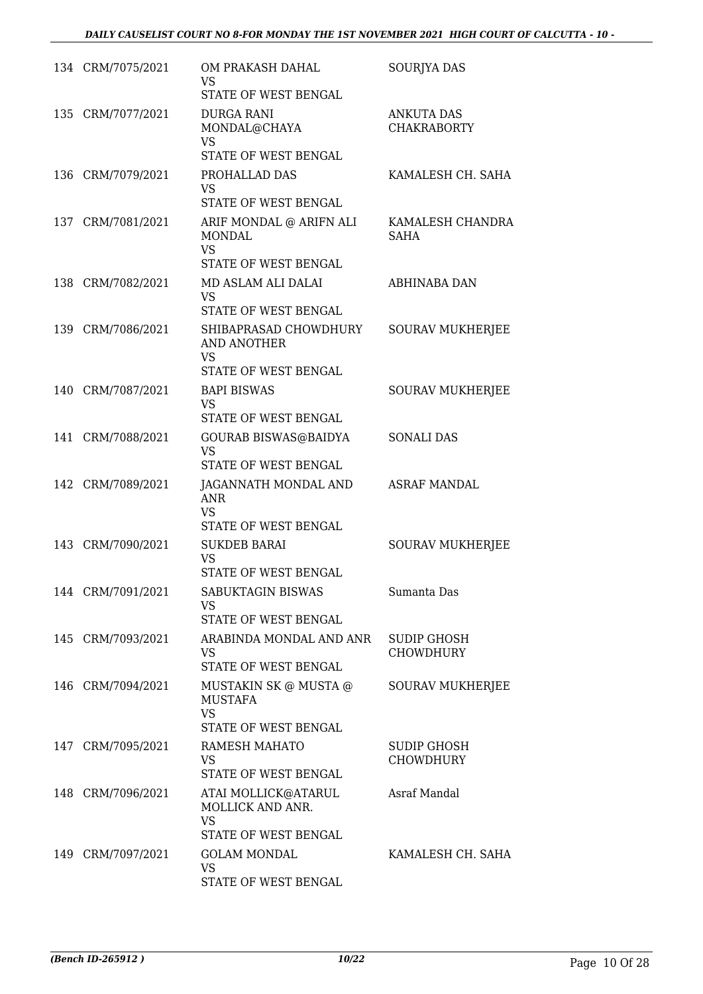| 134 CRM/7075/2021 | OM PRAKASH DAHAL<br>VS<br>STATE OF WEST BENGAL                                                           | <b>SOURJYA DAS</b>                      |
|-------------------|----------------------------------------------------------------------------------------------------------|-----------------------------------------|
| 135 CRM/7077/2021 | DURGA RANI<br>MONDAL@CHAYA<br>VS                                                                         | <b>ANKUTA DAS</b><br><b>CHAKRABORTY</b> |
|                   | STATE OF WEST BENGAL                                                                                     |                                         |
| 136 CRM/7079/2021 | PROHALLAD DAS<br><b>VS</b><br>STATE OF WEST BENGAL                                                       | KAMALESH CH. SAHA                       |
| 137 CRM/7081/2021 | ARIF MONDAL @ ARIFN ALI<br><b>MONDAL</b><br><b>VS</b><br>STATE OF WEST BENGAL                            | KAMALESH CHANDRA<br><b>SAHA</b>         |
| 138 CRM/7082/2021 | MD ASLAM ALI DALAI<br>VS.                                                                                | ABHINABA DAN                            |
| 139 CRM/7086/2021 | STATE OF WEST BENGAL<br>SHIBAPRASAD CHOWDHURY<br><b>AND ANOTHER</b><br><b>VS</b><br>STATE OF WEST BENGAL | <b>SOURAV MUKHERJEE</b>                 |
| 140 CRM/7087/2021 | <b>BAPI BISWAS</b><br>VS<br>STATE OF WEST BENGAL                                                         | <b>SOURAV MUKHERJEE</b>                 |
| 141 CRM/7088/2021 | GOURAB BISWAS@BAIDYA<br>VS                                                                               | <b>SONALI DAS</b>                       |
| 142 CRM/7089/2021 | STATE OF WEST BENGAL<br>JAGANNATH MONDAL AND<br><b>ANR</b><br><b>VS</b><br>STATE OF WEST BENGAL          | <b>ASRAF MANDAL</b>                     |
| 143 CRM/7090/2021 | <b>SUKDEB BARAI</b><br><b>VS</b><br>STATE OF WEST BENGAL                                                 | <b>SOURAV MUKHERJEE</b>                 |
| 144 CRM/7091/2021 | SABUKTAGIN BISWAS<br>VS<br>STATE OF WEST BENGAL                                                          | Sumanta Das                             |
| 145 CRM/7093/2021 | ARABINDA MONDAL AND ANR<br><b>VS</b><br>STATE OF WEST BENGAL                                             | <b>SUDIP GHOSH</b><br><b>CHOWDHURY</b>  |
| 146 CRM/7094/2021 | MUSTAKIN SK @ MUSTA @<br>MUSTAFA<br><b>VS</b><br>STATE OF WEST BENGAL                                    | SOURAV MUKHERJEE                        |
| 147 CRM/7095/2021 | RAMESH MAHATO<br><b>VS</b><br>STATE OF WEST BENGAL                                                       | SUDIP GHOSH<br><b>CHOWDHURY</b>         |
| 148 CRM/7096/2021 | ATAI MOLLICK@ATARUL<br>MOLLICK AND ANR.<br><b>VS</b>                                                     | Asraf Mandal                            |
|                   | STATE OF WEST BENGAL                                                                                     |                                         |
| 149 CRM/7097/2021 | <b>GOLAM MONDAL</b><br>VS<br>STATE OF WEST BENGAL                                                        | KAMALESH CH. SAHA                       |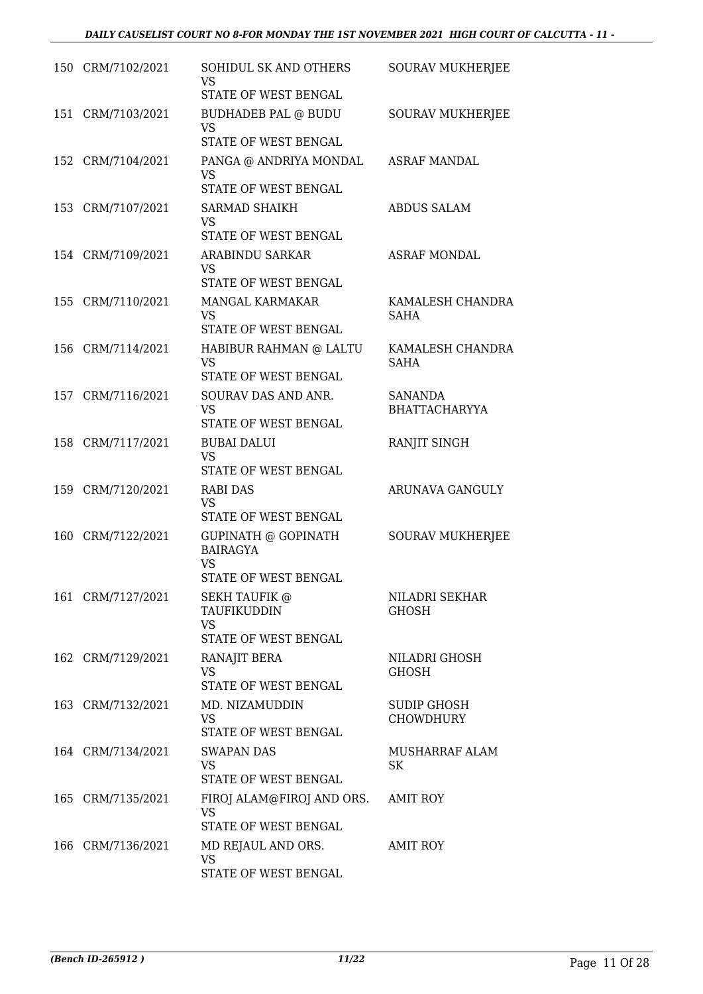| 150 CRM/7102/2021 | SOHIDUL SK AND OTHERS<br>VS<br>STATE OF WEST BENGAL                         | <b>SOURAV MUKHERJEE</b>                |
|-------------------|-----------------------------------------------------------------------------|----------------------------------------|
| 151 CRM/7103/2021 | <b>BUDHADEB PAL @ BUDU</b><br><b>VS</b><br>STATE OF WEST BENGAL             | <b>SOURAV MUKHERJEE</b>                |
| 152 CRM/7104/2021 | PANGA @ ANDRIYA MONDAL<br><b>VS</b><br>STATE OF WEST BENGAL                 | ASRAF MANDAL                           |
| 153 CRM/7107/2021 | <b>SARMAD SHAIKH</b><br>VS<br>STATE OF WEST BENGAL                          | <b>ABDUS SALAM</b>                     |
| 154 CRM/7109/2021 | ARABINDU SARKAR<br>VS<br>STATE OF WEST BENGAL                               | <b>ASRAF MONDAL</b>                    |
| 155 CRM/7110/2021 | MANGAL KARMAKAR<br>VS<br>STATE OF WEST BENGAL                               | KAMALESH CHANDRA<br><b>SAHA</b>        |
| 156 CRM/7114/2021 | HABIBUR RAHMAN @ LALTU<br><b>VS</b><br>STATE OF WEST BENGAL                 | KAMALESH CHANDRA<br><b>SAHA</b>        |
| 157 CRM/7116/2021 | SOURAV DAS AND ANR.<br><b>VS</b><br>STATE OF WEST BENGAL                    | <b>SANANDA</b><br><b>BHATTACHARYYA</b> |
| 158 CRM/7117/2021 | <b>BUBAI DALUI</b><br><b>VS</b><br>STATE OF WEST BENGAL                     | RANJIT SINGH                           |
| 159 CRM/7120/2021 | RABI DAS<br>VS<br>STATE OF WEST BENGAL                                      | ARUNAVA GANGULY                        |
| 160 CRM/7122/2021 | GUPINATH @ GOPINATH<br><b>BAIRAGYA</b><br><b>VS</b><br>STATE OF WEST BENGAL | <b>SOURAV MUKHERJEE</b>                |
| 161 CRM/7127/2021 | <b>SEKH TAUFIK @</b><br>TAUFIKUDDIN<br><b>VS</b><br>STATE OF WEST BENGAL    | NILADRI SEKHAR<br><b>GHOSH</b>         |
| 162 CRM/7129/2021 | RANAJIT BERA<br><b>VS</b><br>STATE OF WEST BENGAL                           | NILADRI GHOSH<br>GHOSH                 |
| 163 CRM/7132/2021 | MD. NIZAMUDDIN<br>VS.<br>STATE OF WEST BENGAL                               | SUDIP GHOSH<br><b>CHOWDHURY</b>        |
| 164 CRM/7134/2021 | SWAPAN DAS<br>VS.<br>STATE OF WEST BENGAL                                   | MUSHARRAF ALAM<br>SK                   |
| 165 CRM/7135/2021 | FIROJ ALAM@FIROJ AND ORS.<br>VS<br>STATE OF WEST BENGAL                     | <b>AMIT ROY</b>                        |
| 166 CRM/7136/2021 | MD REJAUL AND ORS.<br><b>VS</b><br>STATE OF WEST BENGAL                     | <b>AMIT ROY</b>                        |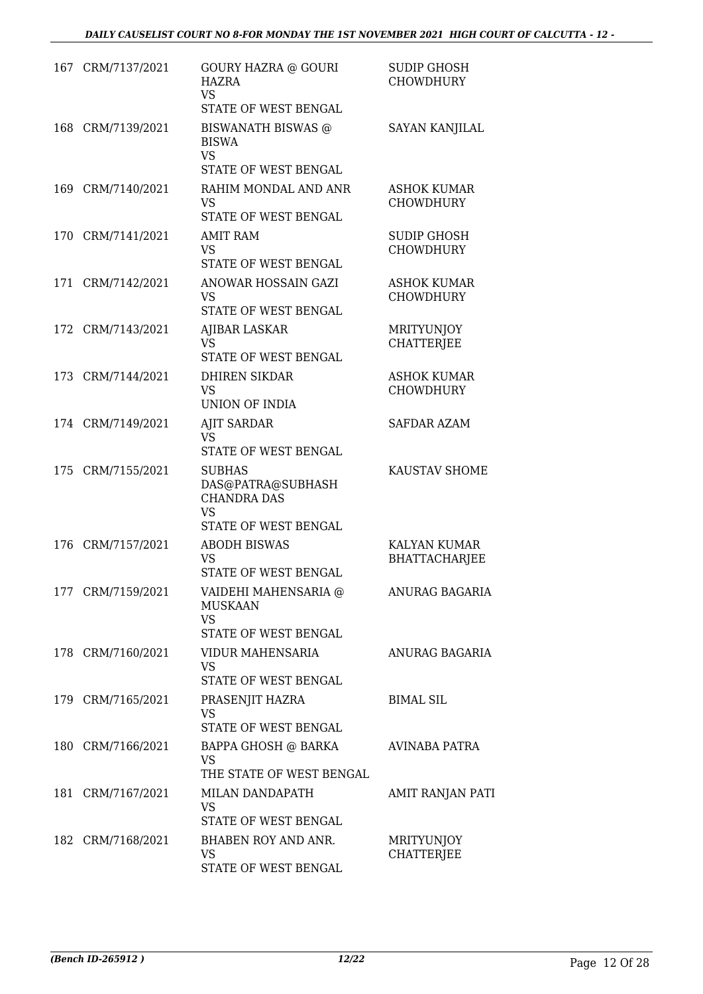| 167 | CRM/7137/2021     | <b>GOURY HAZRA @ GOURI</b><br>HAZRA<br><b>VS</b><br>STATE OF WEST BENGAL                      | <b>SUDIP GHOSH</b><br><b>CHOWDHURY</b> |
|-----|-------------------|-----------------------------------------------------------------------------------------------|----------------------------------------|
|     | 168 CRM/7139/2021 | <b>BISWANATH BISWAS</b> @<br><b>BISWA</b><br><b>VS</b><br>STATE OF WEST BENGAL                | SAYAN KANJILAL                         |
| 169 | CRM/7140/2021     | RAHIM MONDAL AND ANR<br><b>VS</b><br>STATE OF WEST BENGAL                                     | <b>ASHOK KUMAR</b><br><b>CHOWDHURY</b> |
| 170 | CRM/7141/2021     | <b>AMIT RAM</b><br><b>VS</b><br>STATE OF WEST BENGAL                                          | <b>SUDIP GHOSH</b><br><b>CHOWDHURY</b> |
| 171 | CRM/7142/2021     | ANOWAR HOSSAIN GAZI<br>VS<br>STATE OF WEST BENGAL                                             | <b>ASHOK KUMAR</b><br><b>CHOWDHURY</b> |
| 172 | CRM/7143/2021     | <b>AJIBAR LASKAR</b><br><b>VS</b><br>STATE OF WEST BENGAL                                     | MRITYUNJOY<br><b>CHATTERJEE</b>        |
|     | 173 CRM/7144/2021 | DHIREN SIKDAR<br><b>VS</b><br><b>UNION OF INDIA</b>                                           | <b>ASHOK KUMAR</b><br><b>CHOWDHURY</b> |
|     | 174 CRM/7149/2021 | <b>AJIT SARDAR</b><br><b>VS</b><br>STATE OF WEST BENGAL                                       | <b>SAFDAR AZAM</b>                     |
| 175 | CRM/7155/2021     | <b>SUBHAS</b><br>DAS@PATRA@SUBHASH<br><b>CHANDRA DAS</b><br><b>VS</b><br>STATE OF WEST BENGAL | KAUSTAV SHOME                          |
| 176 | CRM/7157/2021     | <b>ABODH BISWAS</b><br><b>VS</b><br>STATE OF WEST BENGAL                                      | KALYAN KUMAR<br><b>BHATTACHARJEE</b>   |
|     | 177 CRM/7159/2021 | VAIDEHI MAHENSARIA @<br><b>MUSKAAN</b><br><b>VS</b><br>STATE OF WEST BENGAL                   | ANURAG BAGARIA                         |
|     | 178 CRM/7160/2021 | VIDUR MAHENSARIA<br><b>VS</b><br>STATE OF WEST BENGAL                                         | ANURAG BAGARIA                         |
|     | 179 CRM/7165/2021 | PRASENJIT HAZRA<br><b>VS</b><br>STATE OF WEST BENGAL                                          | <b>BIMAL SIL</b>                       |
|     | 180 CRM/7166/2021 | BAPPA GHOSH @ BARKA<br><b>VS</b><br>THE STATE OF WEST BENGAL                                  | AVINABA PATRA                          |
|     | 181 CRM/7167/2021 | MILAN DANDAPATH<br>VS<br>STATE OF WEST BENGAL                                                 | AMIT RANJAN PATI                       |
|     | 182 CRM/7168/2021 | BHABEN ROY AND ANR.<br><b>VS</b><br>STATE OF WEST BENGAL                                      | MRITYUNJOY<br><b>CHATTERJEE</b>        |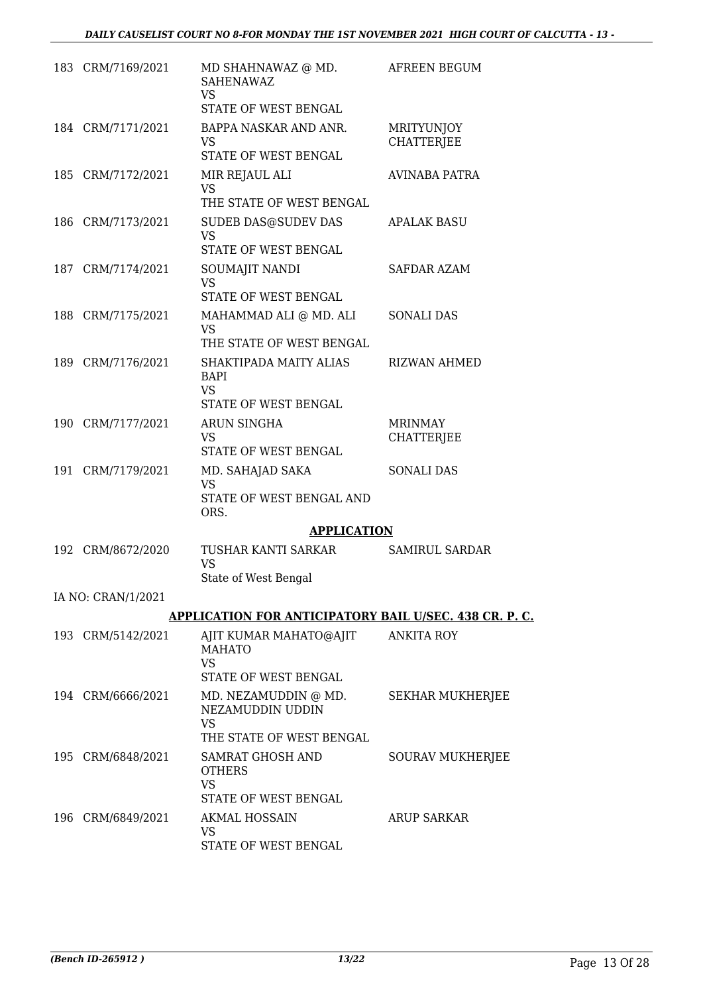| 183 CRM/7169/2021  | MD SHAHNAWAZ @ MD.<br><b>SAHENAWAZ</b><br><b>VS</b><br>STATE OF WEST BENGAL       | AFREEN BEGUM                           |
|--------------------|-----------------------------------------------------------------------------------|----------------------------------------|
| 184 CRM/7171/2021  | BAPPA NASKAR AND ANR.<br><b>VS</b><br>STATE OF WEST BENGAL                        | <b>MRITYUNJOY</b><br><b>CHATTERJEE</b> |
| 185 CRM/7172/2021  | MIR REJAUL ALI<br><b>VS</b><br>THE STATE OF WEST BENGAL                           | AVINABA PATRA                          |
| 186 CRM/7173/2021  | <b>SUDEB DAS@SUDEV DAS</b><br>VS.<br>STATE OF WEST BENGAL                         | APALAK BASU                            |
| 187 CRM/7174/2021  | SOUMAJIT NANDI<br><b>VS</b><br>STATE OF WEST BENGAL                               | SAFDAR AZAM                            |
| 188 CRM/7175/2021  | MAHAMMAD ALI @ MD. ALI<br><b>VS</b><br>THE STATE OF WEST BENGAL                   | <b>SONALI DAS</b>                      |
| 189 CRM/7176/2021  | SHAKTIPADA MAITY ALIAS<br>BAPI<br><b>VS</b><br>STATE OF WEST BENGAL               | <b>RIZWAN AHMED</b>                    |
| 190 CRM/7177/2021  | <b>ARUN SINGHA</b><br><b>VS</b><br>STATE OF WEST BENGAL                           | <b>MRINMAY</b><br><b>CHATTERJEE</b>    |
| 191 CRM/7179/2021  | MD. SAHAJAD SAKA<br><b>VS</b><br>STATE OF WEST BENGAL AND<br>ORS.                 | <b>SONALI DAS</b>                      |
|                    | <b>APPLICATION</b>                                                                |                                        |
| 192 CRM/8672/2020  | TUSHAR KANTI SARKAR<br><b>VS</b><br>State of West Bengal                          | SAMIRUL SARDAR                         |
| IA NO: CRAN/1/2021 |                                                                                   |                                        |
|                    | <b>APPLICATION FOR ANTICIPATORY BAIL U/SEC. 438 CR. P. C.</b>                     |                                        |
| 193 CRM/5142/2021  | AJIT KUMAR MAHATO@AJIT<br><b>MAHATO</b><br><b>VS</b><br>STATE OF WEST BENGAL      | <b>ANKITA ROY</b>                      |
| 194 CRM/6666/2021  | MD. NEZAMUDDIN @ MD.<br>NEZAMUDDIN UDDIN<br><b>VS</b><br>THE STATE OF WEST BENGAL | <b>SEKHAR MUKHERJEE</b>                |
| 195 CRM/6848/2021  | SAMRAT GHOSH AND<br><b>OTHERS</b><br><b>VS</b><br>STATE OF WEST BENGAL            | <b>SOURAV MUKHERJEE</b>                |
| 196 CRM/6849/2021  | <b>AKMAL HOSSAIN</b><br>VS<br>STATE OF WEST BENGAL                                | <b>ARUP SARKAR</b>                     |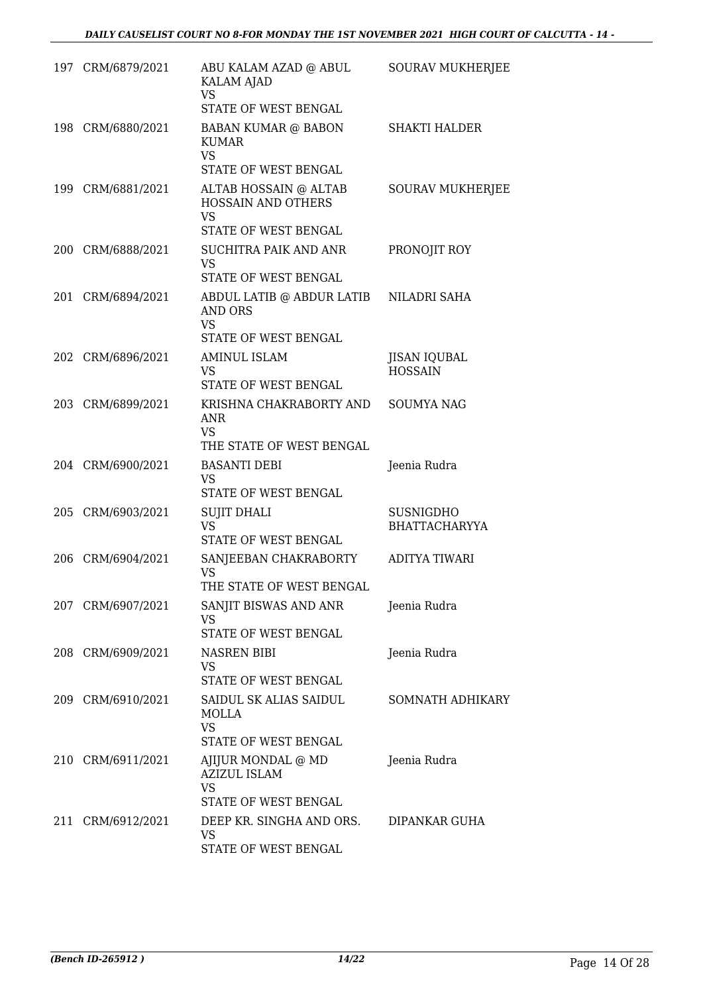|     | 197 CRM/6879/2021 | ABU KALAM AZAD @ ABUL<br><b>KALAM AJAD</b><br><b>VS</b><br>STATE OF WEST BENGAL               | <b>SOURAV MUKHERJEE</b>                  |
|-----|-------------------|-----------------------------------------------------------------------------------------------|------------------------------------------|
|     | 198 CRM/6880/2021 | <b>BABAN KUMAR @ BABON</b><br><b>KUMAR</b><br><b>VS</b><br>STATE OF WEST BENGAL               | <b>SHAKTI HALDER</b>                     |
|     | 199 CRM/6881/2021 | ALTAB HOSSAIN @ ALTAB<br>HOSSAIN AND OTHERS<br><b>VS</b><br>STATE OF WEST BENGAL              | <b>SOURAV MUKHERJEE</b>                  |
|     | 200 CRM/6888/2021 | SUCHITRA PAIK AND ANR<br><b>VS</b><br>STATE OF WEST BENGAL                                    | PRONOJIT ROY                             |
| 201 | CRM/6894/2021     | ABDUL LATIB @ ABDUR LATIB NILADRI SAHA<br><b>AND ORS</b><br><b>VS</b><br>STATE OF WEST BENGAL |                                          |
|     | 202 CRM/6896/2021 | <b>AMINUL ISLAM</b><br>VS<br>STATE OF WEST BENGAL                                             | <b>JISAN IQUBAL</b><br><b>HOSSAIN</b>    |
|     | 203 CRM/6899/2021 | KRISHNA CHAKRABORTY AND<br>ANR<br>VS.<br>THE STATE OF WEST BENGAL                             | <b>SOUMYA NAG</b>                        |
|     | 204 CRM/6900/2021 | <b>BASANTI DEBI</b><br><b>VS</b><br>STATE OF WEST BENGAL                                      | Jeenia Rudra                             |
|     | 205 CRM/6903/2021 | <b>SUJIT DHALI</b><br><b>VS</b><br>STATE OF WEST BENGAL                                       | <b>SUSNIGDHO</b><br><b>BHATTACHARYYA</b> |
| 206 | CRM/6904/2021     | SANJEEBAN CHAKRABORTY<br>VS<br>THE STATE OF WEST BENGAL                                       | ADITYA TIWARI                            |
|     | 207 CRM/6907/2021 | SANJIT BISWAS AND ANR<br>VS<br>STATE OF WEST BENGAL                                           | Jeenia Rudra                             |
|     | 208 CRM/6909/2021 | NASREN BIBI<br>VS<br>STATE OF WEST BENGAL                                                     | Jeenia Rudra                             |
|     | 209 CRM/6910/2021 | SAIDUL SK ALIAS SAIDUL<br><b>MOLLA</b><br><b>VS</b><br>STATE OF WEST BENGAL                   | SOMNATH ADHIKARY                         |
|     | 210 CRM/6911/2021 | AJIJUR MONDAL @ MD<br><b>AZIZUL ISLAM</b><br><b>VS</b><br>STATE OF WEST BENGAL                | Jeenia Rudra                             |
|     | 211 CRM/6912/2021 | DEEP KR. SINGHA AND ORS.<br>VS<br>STATE OF WEST BENGAL                                        | DIPANKAR GUHA                            |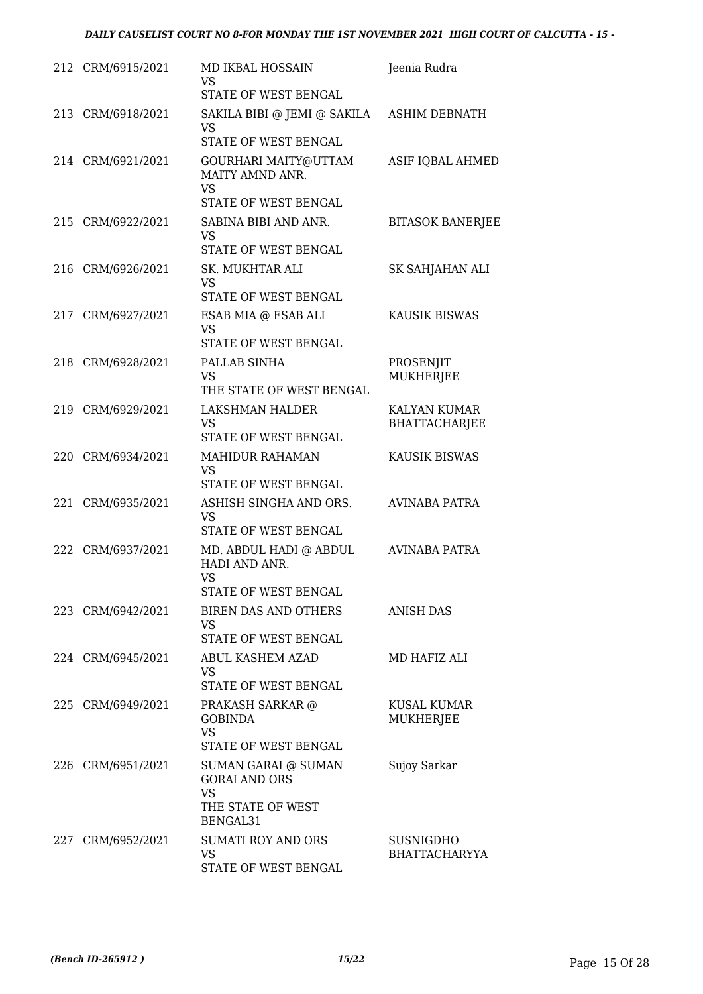|     | 212 CRM/6915/2021 | <b>MD IKBAL HOSSAIN</b><br><b>VS</b><br>STATE OF WEST BENGAL                              | Jeenia Rudra                         |
|-----|-------------------|-------------------------------------------------------------------------------------------|--------------------------------------|
| 213 | CRM/6918/2021     | SAKILA BIBI @ JEMI @ SAKILA<br><b>VS</b><br>STATE OF WEST BENGAL                          | ASHIM DEBNATH                        |
|     | 214 CRM/6921/2021 | GOURHARI MAITY@UTTAM<br>MAITY AMND ANR.<br><b>VS</b><br>STATE OF WEST BENGAL              | ASIF IQBAL AHMED                     |
|     | 215 CRM/6922/2021 | SABINA BIBI AND ANR.<br>VS<br>STATE OF WEST BENGAL                                        | <b>BITASOK BANERJEE</b>              |
| 216 | CRM/6926/2021     | SK. MUKHTAR ALI<br>VS<br>STATE OF WEST BENGAL                                             | SK SAHJAHAN ALI                      |
| 217 | CRM/6927/2021     | ESAB MIA @ ESAB ALI<br><b>VS</b><br>STATE OF WEST BENGAL                                  | <b>KAUSIK BISWAS</b>                 |
|     | 218 CRM/6928/2021 | PALLAB SINHA<br><b>VS</b><br>THE STATE OF WEST BENGAL                                     | PROSENJIT<br><b>MUKHERJEE</b>        |
| 219 | CRM/6929/2021     | LAKSHMAN HALDER<br><b>VS</b><br>STATE OF WEST BENGAL                                      | KALYAN KUMAR<br><b>BHATTACHARJEE</b> |
| 220 | CRM/6934/2021     | <b>MAHIDUR RAHAMAN</b><br><b>VS</b><br>STATE OF WEST BENGAL                               | <b>KAUSIK BISWAS</b>                 |
| 221 | CRM/6935/2021     | ASHISH SINGHA AND ORS.<br><b>VS</b><br>STATE OF WEST BENGAL                               | <b>AVINABA PATRA</b>                 |
| 222 | CRM/6937/2021     | MD. ABDUL HADI @ ABDUL<br>HADI AND ANR.<br>VS<br>STATE OF WEST BENGAL                     | <b>AVINABA PATRA</b>                 |
|     | 223 CRM/6942/2021 | <b>BIREN DAS AND OTHERS</b><br><b>VS</b><br>STATE OF WEST BENGAL                          | <b>ANISH DAS</b>                     |
|     | 224 CRM/6945/2021 | ABUL KASHEM AZAD<br>VS.<br>STATE OF WEST BENGAL                                           | MD HAFIZ ALI                         |
|     | 225 CRM/6949/2021 | PRAKASH SARKAR @<br><b>GOBINDA</b><br><b>VS</b><br>STATE OF WEST BENGAL                   | KUSAL KUMAR<br><b>MUKHERJEE</b>      |
|     | 226 CRM/6951/2021 | SUMAN GARAI @ SUMAN<br><b>GORAI AND ORS</b><br><b>VS</b><br>THE STATE OF WEST<br>BENGAL31 | Sujoy Sarkar                         |
| 227 | CRM/6952/2021     | SUMATI ROY AND ORS<br>VS<br>STATE OF WEST BENGAL                                          | <b>SUSNIGDHO</b><br>BHATTACHARYYA    |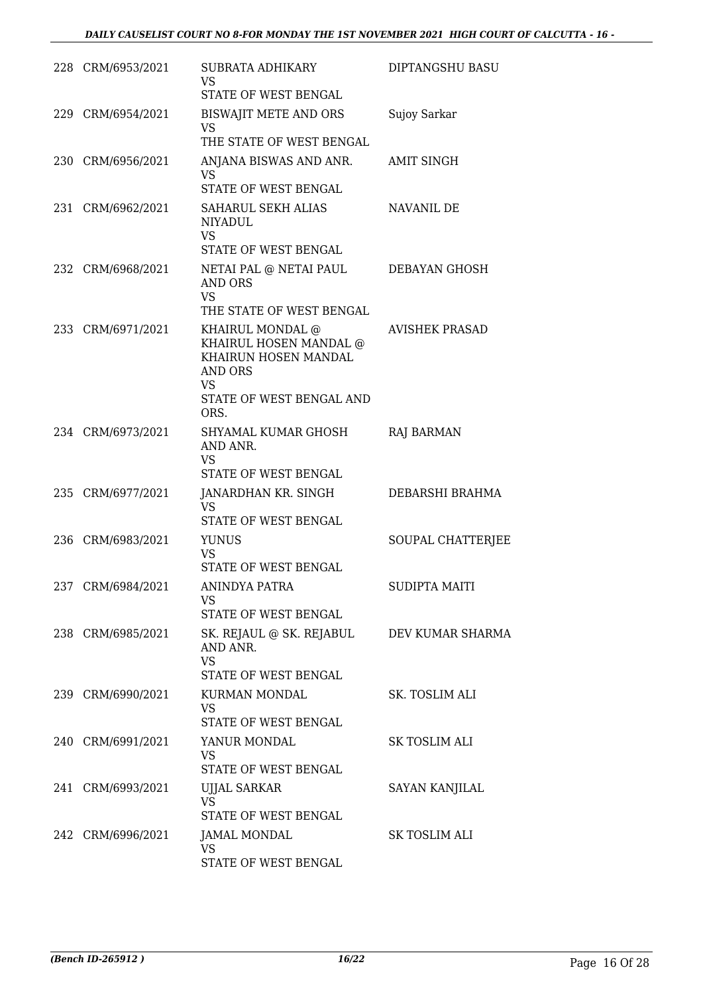| 228 CRM/6953/2021 | SUBRATA ADHIKARY<br>VS.<br>STATE OF WEST BENGAL                                                                                       | DIPTANGSHU BASU       |
|-------------------|---------------------------------------------------------------------------------------------------------------------------------------|-----------------------|
| 229 CRM/6954/2021 | BISWAJIT METE AND ORS<br>VS<br>THE STATE OF WEST BENGAL                                                                               | Sujoy Sarkar          |
| 230 CRM/6956/2021 | ANJANA BISWAS AND ANR.<br><b>VS</b><br>STATE OF WEST BENGAL                                                                           | <b>AMIT SINGH</b>     |
| 231 CRM/6962/2021 | SAHARUL SEKH ALIAS<br><b>NIYADUL</b><br><b>VS</b><br>STATE OF WEST BENGAL                                                             | NAVANIL DE            |
| 232 CRM/6968/2021 | NETAI PAL @ NETAI PAUL DEBAYAN GHOSH<br><b>AND ORS</b><br><b>VS</b><br>THE STATE OF WEST BENGAL                                       |                       |
| 233 CRM/6971/2021 | KHAIRUL MONDAL @<br>KHAIRUL HOSEN MANDAL @<br>KHAIRUN HOSEN MANDAL<br><b>AND ORS</b><br><b>VS</b><br>STATE OF WEST BENGAL AND<br>ORS. | <b>AVISHEK PRASAD</b> |
| 234 CRM/6973/2021 | SHYAMAL KUMAR GHOSH<br>AND ANR.<br><b>VS</b><br>STATE OF WEST BENGAL                                                                  | RAJ BARMAN            |
| 235 CRM/6977/2021 | JANARDHAN KR. SINGH<br>VS.<br>STATE OF WEST BENGAL                                                                                    | DEBARSHI BRAHMA       |
| 236 CRM/6983/2021 | <b>YUNUS</b><br><b>VS</b><br>STATE OF WEST BENGAL                                                                                     | SOUPAL CHATTERJEE     |
| 237 CRM/6984/2021 | <b>ANINDYA PATRA</b><br>VS<br>STATE OF WEST BENGAL                                                                                    | <b>SUDIPTA MAITI</b>  |
| 238 CRM/6985/2021 | SK. REJAUL @ SK. REJABUL DEV KUMAR SHARMA<br>AND ANR.<br><b>VS</b><br>STATE OF WEST BENGAL                                            |                       |
| 239 CRM/6990/2021 | KURMAN MONDAL<br>VS<br>STATE OF WEST BENGAL                                                                                           | SK. TOSLIM ALI        |
| 240 CRM/6991/2021 | YANUR MONDAL<br>VS.<br>STATE OF WEST BENGAL                                                                                           | SK TOSLIM ALI         |
| 241 CRM/6993/2021 | <b>UJJAL SARKAR</b><br><b>VS</b><br>STATE OF WEST BENGAL                                                                              | SAYAN KANJILAL        |
| 242 CRM/6996/2021 | JAMAL MONDAL<br>VS<br>STATE OF WEST BENGAL                                                                                            | SK TOSLIM ALI         |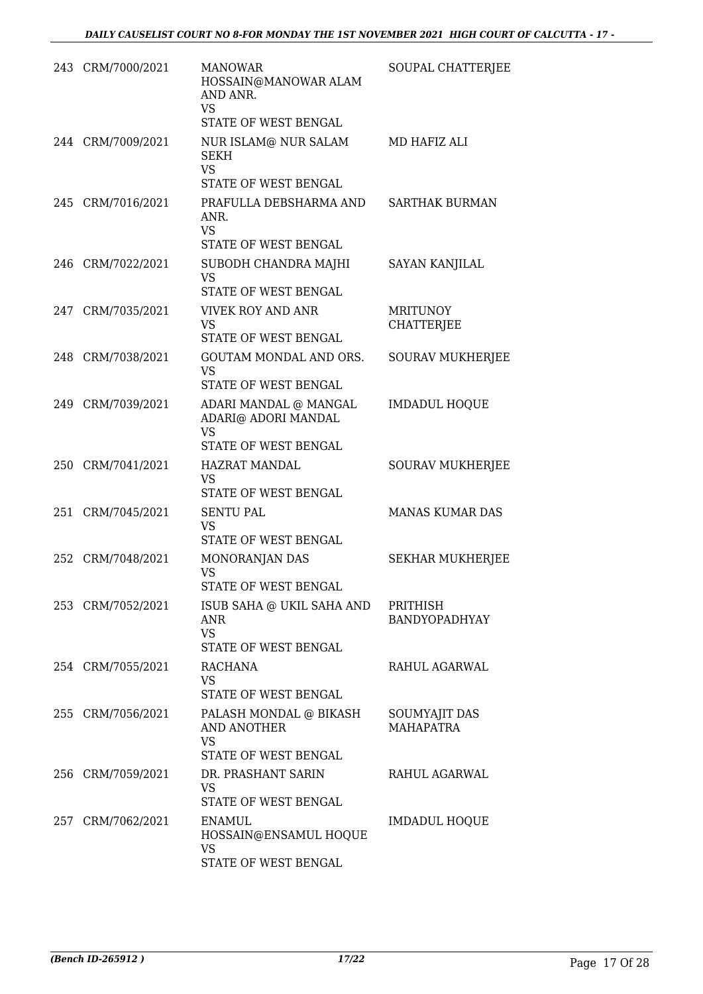| 243 CRM/7000/2021 | <b>MANOWAR</b><br>HOSSAIN@MANOWAR ALAM<br>AND ANR.<br><b>VS</b><br>STATE OF WEST BENGAL | SOUPAL CHATTERJEE                    |
|-------------------|-----------------------------------------------------------------------------------------|--------------------------------------|
| 244 CRM/7009/2021 | NUR ISLAM@ NUR SALAM<br><b>SEKH</b><br><b>VS</b><br>STATE OF WEST BENGAL                | MD HAFIZ ALI                         |
| 245 CRM/7016/2021 | PRAFULLA DEBSHARMA AND<br>ANR.<br><b>VS</b><br>STATE OF WEST BENGAL                     | <b>SARTHAK BURMAN</b>                |
| 246 CRM/7022/2021 | SUBODH CHANDRA MAJHI<br>VS<br>STATE OF WEST BENGAL                                      | <b>SAYAN KANJILAL</b>                |
| 247 CRM/7035/2021 | VIVEK ROY AND ANR<br><b>VS</b><br>STATE OF WEST BENGAL                                  | <b>MRITUNOY</b><br><b>CHATTERJEE</b> |
| 248 CRM/7038/2021 | GOUTAM MONDAL AND ORS.<br><b>VS</b><br>STATE OF WEST BENGAL                             | <b>SOURAV MUKHERJEE</b>              |
| 249 CRM/7039/2021 | ADARI MANDAL @ MANGAL<br>ADARI@ ADORI MANDAL<br><b>VS</b><br>STATE OF WEST BENGAL       | <b>IMDADUL HOQUE</b>                 |
| 250 CRM/7041/2021 | <b>HAZRAT MANDAL</b><br>VS<br>STATE OF WEST BENGAL                                      | <b>SOURAV MUKHERJEE</b>              |
| 251 CRM/7045/2021 | <b>SENTU PAL</b><br><b>VS</b><br><b>STATE OF WEST BENGAL</b>                            | <b>MANAS KUMAR DAS</b>               |
| 252 CRM/7048/2021 | MONORANJAN DAS<br><b>VS</b><br>STATE OF WEST BENGAL                                     | <b>SEKHAR MUKHERJEE</b>              |
| 253 CRM/7052/2021 | ISUB SAHA @ UKIL SAHA AND<br>ANR<br><b>VS</b><br>STATE OF WEST BENGAL                   | PRITHISH<br>BANDYOPADHYAY            |
| 254 CRM/7055/2021 | RACHANA<br>VS.<br>STATE OF WEST BENGAL                                                  | RAHUL AGARWAL                        |
| 255 CRM/7056/2021 | PALASH MONDAL @ BIKASH<br>AND ANOTHER<br><b>VS</b><br>STATE OF WEST BENGAL              | SOUMYAJIT DAS<br><b>MAHAPATRA</b>    |
| 256 CRM/7059/2021 | DR. PRASHANT SARIN<br>VS<br>STATE OF WEST BENGAL                                        | RAHUL AGARWAL                        |
| 257 CRM/7062/2021 | <b>ENAMUL</b><br>HOSSAIN@ENSAMUL HOQUE<br><b>VS</b><br>STATE OF WEST BENGAL             | <b>IMDADUL HOQUE</b>                 |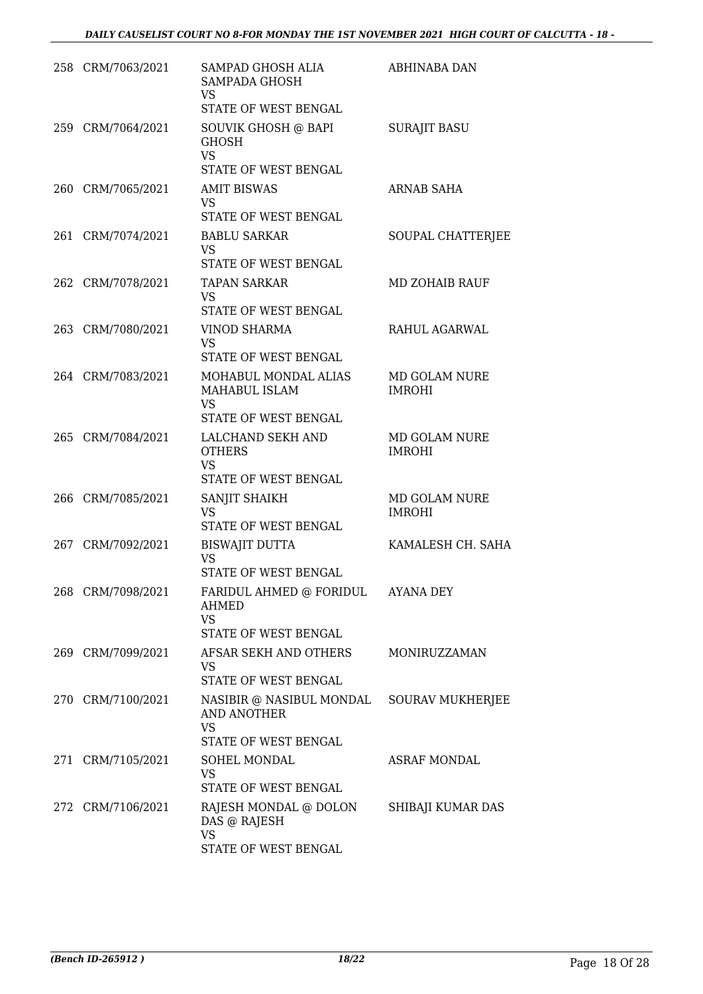|     | 258 CRM/7063/2021 | SAMPAD GHOSH ALIA<br>SAMPADA GHOSH<br>VS.<br>STATE OF WEST BENGAL                                    | <b>ABHINABA DAN</b>                   |
|-----|-------------------|------------------------------------------------------------------------------------------------------|---------------------------------------|
|     | 259 CRM/7064/2021 | SOUVIK GHOSH @ BAPI<br><b>GHOSH</b><br><b>VS</b><br>STATE OF WEST BENGAL                             | <b>SURAJIT BASU</b>                   |
|     | 260 CRM/7065/2021 | <b>AMIT BISWAS</b><br>VS.<br>STATE OF WEST BENGAL                                                    | ARNAB SAHA                            |
|     | 261 CRM/7074/2021 | <b>BABLU SARKAR</b><br><b>VS</b><br>STATE OF WEST BENGAL                                             | SOUPAL CHATTERJEE                     |
|     | 262 CRM/7078/2021 | <b>TAPAN SARKAR</b><br>VS<br>STATE OF WEST BENGAL                                                    | <b>MD ZOHAIB RAUF</b>                 |
|     | 263 CRM/7080/2021 | <b>VINOD SHARMA</b><br><b>VS</b><br>STATE OF WEST BENGAL                                             | RAHUL AGARWAL                         |
|     | 264 CRM/7083/2021 | MOHABUL MONDAL ALIAS<br>MAHABUL ISLAM<br>VS<br>STATE OF WEST BENGAL                                  | <b>MD GOLAM NURE</b><br><b>IMROHI</b> |
|     | 265 CRM/7084/2021 | LALCHAND SEKH AND<br><b>OTHERS</b><br><b>VS</b><br>STATE OF WEST BENGAL                              | MD GOLAM NURE<br><b>IMROHI</b>        |
|     | 266 CRM/7085/2021 | SANJIT SHAIKH<br><b>VS</b><br>STATE OF WEST BENGAL                                                   | MD GOLAM NURE<br><b>IMROHI</b>        |
| 267 | CRM/7092/2021     | <b>BISWAJIT DUTTA</b><br>VS<br>STATE OF WEST BENGAL                                                  | KAMALESH CH. SAHA                     |
|     | 268 CRM/7098/2021 | FARIDUL AHMED @ FORIDUL<br>AHMED<br><b>VS</b><br>STATE OF WEST BENGAL                                | <b>AYANA DEY</b>                      |
|     | 269 CRM/7099/2021 | AFSAR SEKH AND OTHERS<br><b>VS</b><br>STATE OF WEST BENGAL                                           | MONIRUZZAMAN                          |
|     | 270 CRM/7100/2021 | NASIBIR @ NASIBUL MONDAL SOURAV MUKHERJEE<br><b>AND ANOTHER</b><br><b>VS</b><br>STATE OF WEST BENGAL |                                       |
|     | 271 CRM/7105/2021 | SOHEL MONDAL<br><b>VS</b><br>STATE OF WEST BENGAL                                                    | <b>ASRAF MONDAL</b>                   |
|     | 272 CRM/7106/2021 | RAJESH MONDAL @ DOLON<br>DAS @ RAJESH<br><b>VS</b><br>STATE OF WEST BENGAL                           | SHIBAJI KUMAR DAS                     |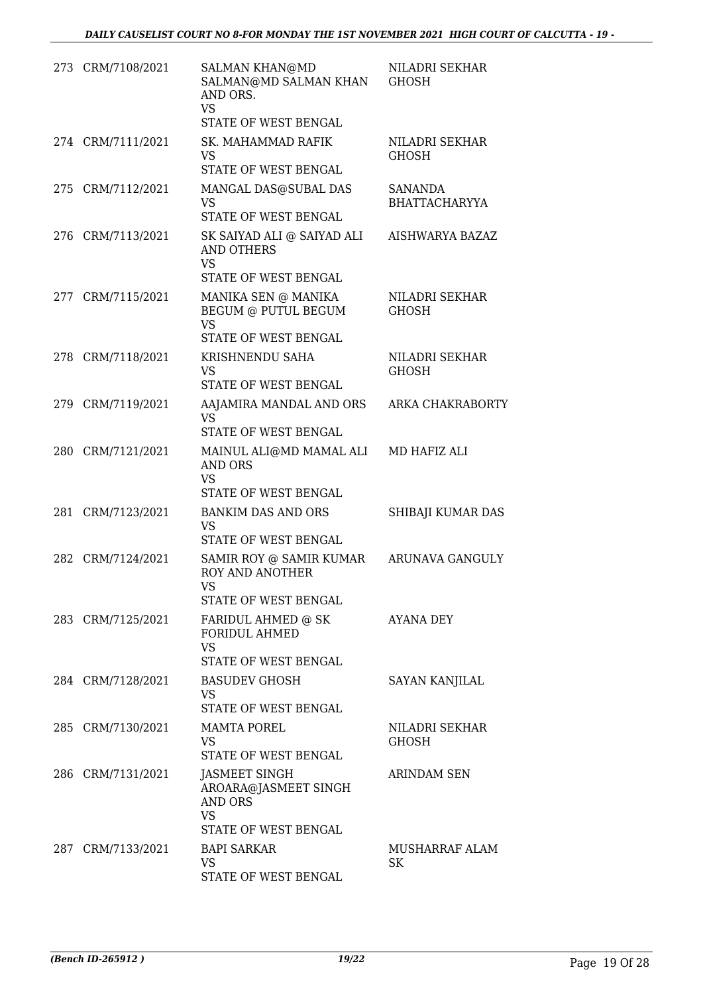|     | 273 CRM/7108/2021 | <b>SALMAN KHAN@MD</b><br>SALMAN@MD SALMAN KHAN<br>AND ORS.<br><b>VS</b>               | NILADRI SEKHAR<br><b>GHOSH</b>         |
|-----|-------------------|---------------------------------------------------------------------------------------|----------------------------------------|
|     |                   | STATE OF WEST BENGAL                                                                  |                                        |
|     | 274 CRM/7111/2021 | SK. MAHAMMAD RAFIK<br>VS<br>STATE OF WEST BENGAL                                      | NILADRI SEKHAR<br><b>GHOSH</b>         |
| 275 | CRM/7112/2021     | MANGAL DAS@SUBAL DAS<br><b>VS</b><br>STATE OF WEST BENGAL                             | <b>SANANDA</b><br><b>BHATTACHARYYA</b> |
|     | 276 CRM/7113/2021 | SK SAIYAD ALI @ SAIYAD ALI<br>AND OTHERS<br><b>VS</b><br>STATE OF WEST BENGAL         | AISHWARYA BAZAZ                        |
|     | 277 CRM/7115/2021 | MANIKA SEN @ MANIKA<br>BEGUM @ PUTUL BEGUM<br><b>VS</b><br>STATE OF WEST BENGAL       | NILADRI SEKHAR<br><b>GHOSH</b>         |
|     | 278 CRM/7118/2021 | KRISHNENDU SAHA<br>VS<br>STATE OF WEST BENGAL                                         | NILADRI SEKHAR<br><b>GHOSH</b>         |
|     | 279 CRM/7119/2021 | AAJAMIRA MANDAL AND ORS<br><b>VS</b><br>STATE OF WEST BENGAL                          | ARKA CHAKRABORTY                       |
|     | 280 CRM/7121/2021 | MAINUL ALI@MD MAMAL ALI<br><b>AND ORS</b><br>VS<br>STATE OF WEST BENGAL               | MD HAFIZ ALI                           |
| 281 | CRM/7123/2021     | <b>BANKIM DAS AND ORS</b><br><b>VS</b><br>STATE OF WEST BENGAL                        | SHIBAJI KUMAR DAS                      |
| 282 | CRM/7124/2021     | SAMIR ROY @ SAMIR KUMAR<br><b>ROY AND ANOTHER</b><br>VS —<br>STATE OF WEST BENGAL     | <b>ARUNAVA GANGULY</b>                 |
|     | 283 CRM/7125/2021 | FARIDUL AHMED @ SK<br><b>FORIDUL AHMED</b><br>VS<br>STATE OF WEST BENGAL              | AYANA DEY                              |
|     | 284 CRM/7128/2021 | <b>BASUDEV GHOSH</b><br>VS<br>STATE OF WEST BENGAL                                    | SAYAN KANJILAL                         |
|     | 285 CRM/7130/2021 | MAMTA POREL<br>VS.<br>STATE OF WEST BENGAL                                            | NILADRI SEKHAR<br>GHOSH                |
|     | 286 CRM/7131/2021 | JASMEET SINGH<br>AROARA@JASMEET SINGH<br><b>AND ORS</b><br>VS<br>STATE OF WEST BENGAL | <b>ARINDAM SEN</b>                     |
|     | 287 CRM/7133/2021 | <b>BAPI SARKAR</b><br>VS.<br>STATE OF WEST BENGAL                                     | MUSHARRAF ALAM<br>SK                   |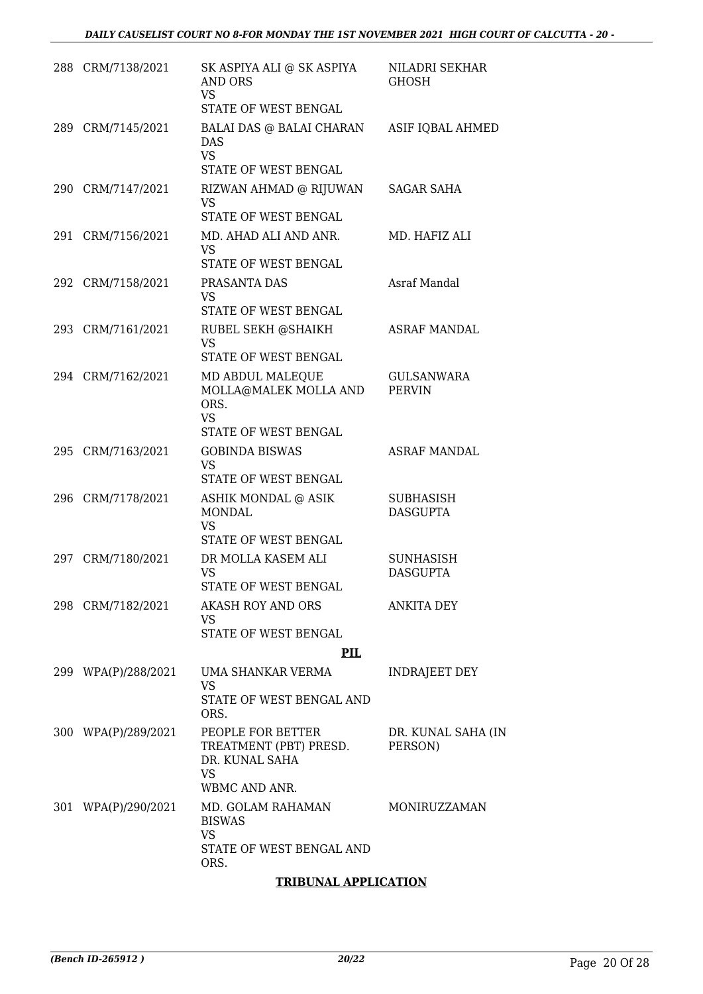|     | 288 CRM/7138/2021   | SK ASPIYA ALI @ SK ASPIYA<br>AND ORS<br><b>VS</b><br>STATE OF WEST BENGAL                   | NILADRI SEKHAR<br><b>GHOSH</b>      |
|-----|---------------------|---------------------------------------------------------------------------------------------|-------------------------------------|
|     | 289 CRM/7145/2021   | BALAI DAS @ BALAI CHARAN<br><b>DAS</b><br><b>VS</b><br>STATE OF WEST BENGAL                 | ASIF IQBAL AHMED                    |
|     | 290 CRM/7147/2021   | RIZWAN AHMAD @ RIJUWAN<br><b>VS</b><br>STATE OF WEST BENGAL                                 | SAGAR SAHA                          |
|     | 291 CRM/7156/2021   | MD. AHAD ALI AND ANR.<br><b>VS</b><br>STATE OF WEST BENGAL                                  | MD. HAFIZ ALI                       |
|     | 292 CRM/7158/2021   | PRASANTA DAS<br>VS.<br>STATE OF WEST BENGAL                                                 | Asraf Mandal                        |
|     | 293 CRM/7161/2021   | RUBEL SEKH @SHAIKH<br><b>VS</b><br>STATE OF WEST BENGAL                                     | <b>ASRAF MANDAL</b>                 |
|     | 294 CRM/7162/2021   | MD ABDUL MALEQUE<br>MOLLA@MALEK MOLLA AND<br>ORS.<br><b>VS</b><br>STATE OF WEST BENGAL      | <b>GULSANWARA</b><br><b>PERVIN</b>  |
|     | 295 CRM/7163/2021   | <b>GOBINDA BISWAS</b><br><b>VS</b><br>STATE OF WEST BENGAL                                  | <b>ASRAF MANDAL</b>                 |
|     | 296 CRM/7178/2021   | ASHIK MONDAL @ ASIK<br><b>MONDAL</b><br><b>VS</b><br>STATE OF WEST BENGAL                   | SUBHASISH<br><b>DASGUPTA</b>        |
| 297 | CRM/7180/2021       | DR MOLLA KASEM ALI<br>VS<br>STATE OF WEST BENGAL                                            | <b>SUNHASISH</b><br><b>DASGUPTA</b> |
|     | 298 CRM/7182/2021   | AKASH ROY AND ORS<br><b>VS</b><br><b>STATE OF WEST BENGAL</b>                               | <b>ANKITA DEY</b>                   |
|     | 299 WPA(P)/288/2021 | <b>PIL</b><br>UMA SHANKAR VERMA<br>VS<br>STATE OF WEST BENGAL AND<br>ORS.                   | <b>INDRAJEET DEY</b>                |
|     | 300 WPA(P)/289/2021 | PEOPLE FOR BETTER<br>TREATMENT (PBT) PRESD.<br>DR. KUNAL SAHA<br><b>VS</b><br>WBMC AND ANR. | DR. KUNAL SAHA (IN<br>PERSON)       |
|     | 301 WPA(P)/290/2021 | MD. GOLAM RAHAMAN<br><b>BISWAS</b><br><b>VS</b><br>STATE OF WEST BENGAL AND<br>ORS.         | MONIRUZZAMAN                        |

#### **TRIBUNAL APPLICATION**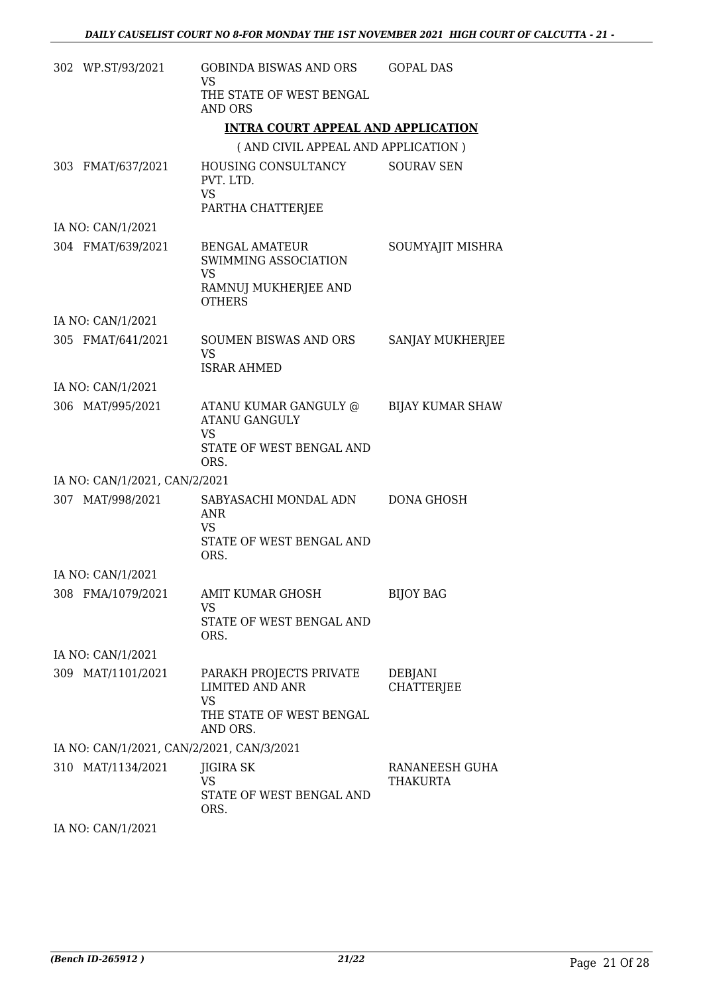| 302 WP.ST/93/2021             | <b>GOBINDA BISWAS AND ORS</b><br><b>VS</b>                                                          | <b>GOPAL DAS</b>             |
|-------------------------------|-----------------------------------------------------------------------------------------------------|------------------------------|
|                               | THE STATE OF WEST BENGAL<br><b>AND ORS</b>                                                          |                              |
|                               | <b>INTRA COURT APPEAL AND APPLICATION</b>                                                           |                              |
|                               | (AND CIVIL APPEAL AND APPLICATION)                                                                  |                              |
| 303 FMAT/637/2021             | HOUSING CONSULTANCY<br>PVT. LTD.<br><b>VS</b><br>PARTHA CHATTERJEE                                  | <b>SOURAV SEN</b>            |
| IA NO: CAN/1/2021             |                                                                                                     |                              |
| 304 FMAT/639/2021             | <b>BENGAL AMATEUR</b><br>SWIMMING ASSOCIATION<br><b>VS</b><br>RAMNUJ MUKHERJEE AND<br><b>OTHERS</b> | SOUMYAJIT MISHRA             |
| IA NO: CAN/1/2021             |                                                                                                     |                              |
| 305 FMAT/641/2021             | <b>SOUMEN BISWAS AND ORS</b><br>VS.<br><b>ISRAR AHMED</b>                                           | <b>SANJAY MUKHERJEE</b>      |
| IA NO: CAN/1/2021             |                                                                                                     |                              |
| 306 MAT/995/2021              | ATANU KUMAR GANGULY @<br><b>ATANU GANGULY</b><br><b>VS</b><br>STATE OF WEST BENGAL AND<br>ORS.      | <b>BIJAY KUMAR SHAW</b>      |
| IA NO: CAN/1/2021, CAN/2/2021 |                                                                                                     |                              |
| 307 MAT/998/2021              | SABYASACHI MONDAL ADN<br><b>ANR</b><br>VS<br>STATE OF WEST BENGAL AND<br>ORS.                       | DONA GHOSH                   |
| IA NO: CAN/1/2021             |                                                                                                     |                              |
| 308 FMA/1079/2021             | <b>AMIT KUMAR GHOSH</b><br>VS<br>STATE OF WEST BENGAL AND                                           | <b>BIJOY BAG</b>             |
|                               | ORS.                                                                                                |                              |
| IA NO: CAN/1/2021             |                                                                                                     |                              |
| 309 MAT/1101/2021             | PARAKH PROJECTS PRIVATE<br><b>LIMITED AND ANR</b><br>VS<br>THE STATE OF WEST BENGAL<br>AND ORS.     | DEBJANI<br><b>CHATTERJEE</b> |
|                               | IA NO: CAN/1/2021, CAN/2/2021, CAN/3/2021                                                           |                              |
| 310 MAT/1134/2021             | JIGIRA SK<br><b>VS</b><br>STATE OF WEST BENGAL AND<br>ORS.                                          | RANANEESH GUHA<br>THAKURTA   |
| IA NO: CAN/1/2021             |                                                                                                     |                              |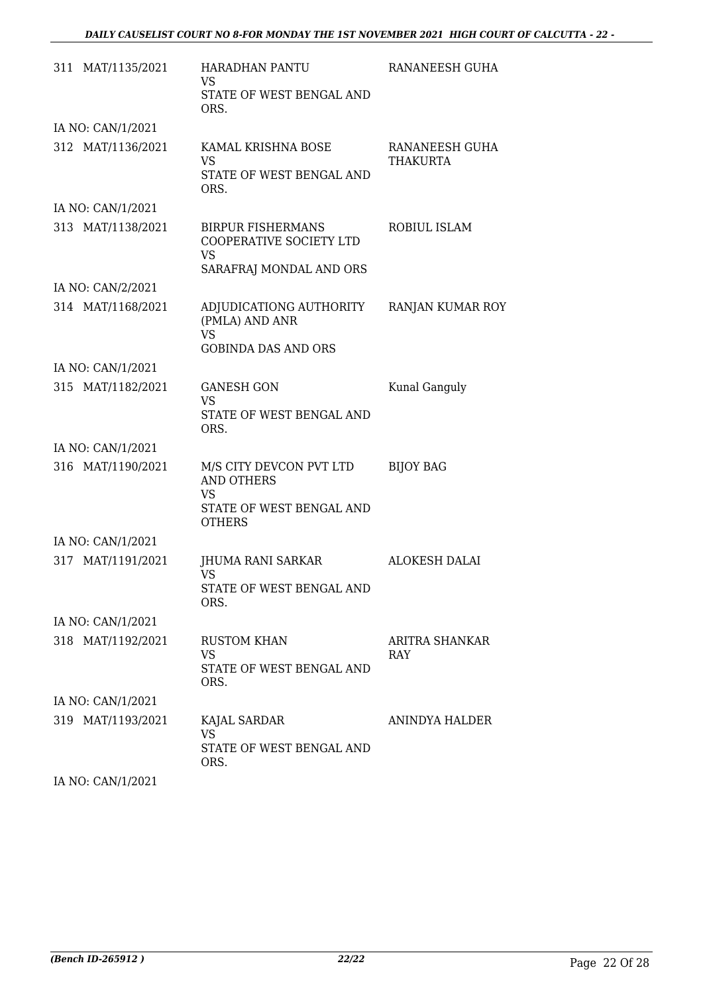| 311 MAT/1135/2021 | <b>HARADHAN PANTU</b><br>VS<br>STATE OF WEST BENGAL AND<br>ORS.                                 | RANANEESH GUHA             |
|-------------------|-------------------------------------------------------------------------------------------------|----------------------------|
| IA NO: CAN/1/2021 |                                                                                                 |                            |
| 312 MAT/1136/2021 | KAMAL KRISHNA BOSE<br><b>VS</b><br>STATE OF WEST BENGAL AND<br>ORS.                             | RANANEESH GUHA<br>THAKURTA |
| IA NO: CAN/1/2021 |                                                                                                 |                            |
| 313 MAT/1138/2021 | <b>BIRPUR FISHERMANS</b><br>COOPERATIVE SOCIETY LTD<br><b>VS</b><br>SARAFRAJ MONDAL AND ORS     | ROBIUL ISLAM               |
| IA NO: CAN/2/2021 |                                                                                                 |                            |
| 314 MAT/1168/2021 | ADJUDICATIONG AUTHORITY<br>(PMLA) AND ANR<br><b>VS</b><br><b>GOBINDA DAS AND ORS</b>            | RANJAN KUMAR ROY           |
| IA NO: CAN/1/2021 |                                                                                                 |                            |
| 315 MAT/1182/2021 | <b>GANESH GON</b><br><b>VS</b><br>STATE OF WEST BENGAL AND<br>ORS.                              | Kunal Ganguly              |
| IA NO: CAN/1/2021 |                                                                                                 |                            |
| 316 MAT/1190/2021 | M/S CITY DEVCON PVT LTD<br><b>AND OTHERS</b><br>VS<br>STATE OF WEST BENGAL AND<br><b>OTHERS</b> | <b>BIJOY BAG</b>           |
| IA NO: CAN/1/2021 |                                                                                                 |                            |
| 317 MAT/1191/2021 | JHUMA RANI SARKAR<br>VS<br>STATE OF WEST BENGAL AND<br>ORS.                                     | <b>ALOKESH DALAI</b>       |
| IA NO: CAN/1/2021 |                                                                                                 |                            |
| 318 MAT/1192/2021 | <b>RUSTOM KHAN</b><br>VS<br>STATE OF WEST BENGAL AND<br>ORS.                                    | ARITRA SHANKAR<br>RAY      |
| IA NO: CAN/1/2021 |                                                                                                 |                            |
| 319 MAT/1193/2021 | KAJAL SARDAR<br><b>VS</b><br>STATE OF WEST BENGAL AND<br>ORS.                                   | ANINDYA HALDER             |

IA NO: CAN/1/2021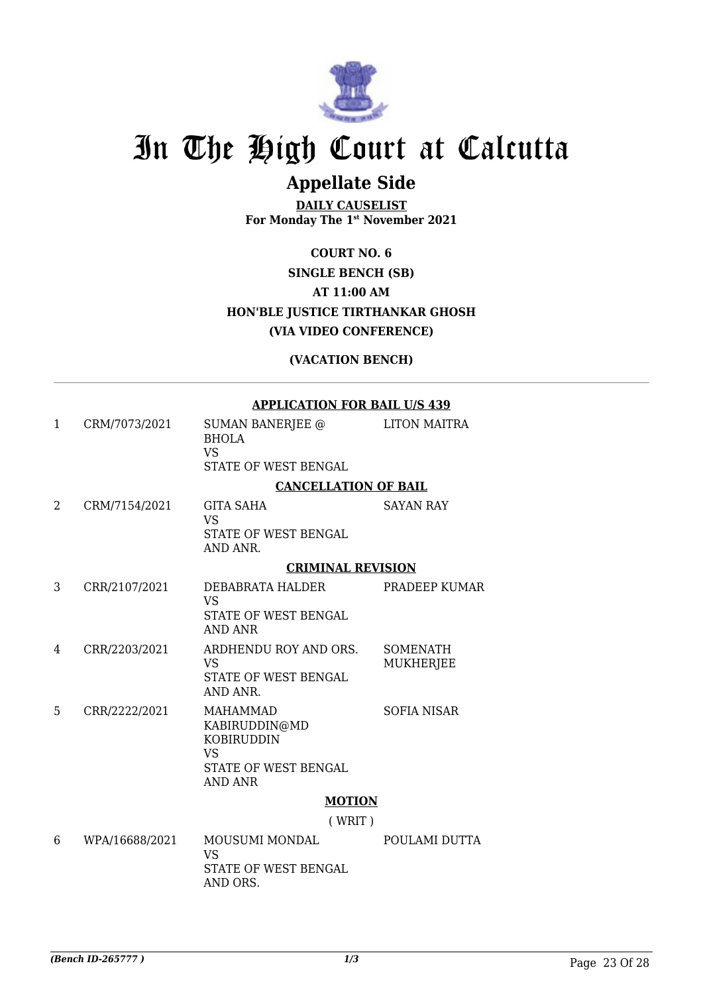

### **Appellate Side**

**DAILY CAUSELIST For Monday The 1st November 2021**

**COURT NO. 6 SINGLE BENCH (SB) AT 11:00 AM HON'BLE JUSTICE TIRTHANKAR GHOSH (VIA VIDEO CONFERENCE)**

#### **(VACATION BENCH)**

#### **APPLICATION FOR BAIL U/S 439**

| 1 | CRM/7073/2021  | <b>SUMAN BANERJEE @</b><br><b>BHOLA</b><br><b>VS</b><br>STATE OF WEST BENGAL                                 | <b>LITON MAITRA</b>                 |
|---|----------------|--------------------------------------------------------------------------------------------------------------|-------------------------------------|
|   |                | <b>CANCELLATION OF BAIL</b>                                                                                  |                                     |
| 2 | CRM/7154/2021  | <b>GITA SAHA</b><br><b>VS</b><br>STATE OF WEST BENGAL<br>AND ANR.                                            | <b>SAYAN RAY</b>                    |
|   |                | <b>CRIMINAL REVISION</b>                                                                                     |                                     |
| 3 | CRR/2107/2021  | DEBABRATA HALDER<br><b>VS</b><br>STATE OF WEST BENGAL<br>AND ANR                                             | PRADEEP KUMAR                       |
| 4 | CRR/2203/2021  | ARDHENDU ROY AND ORS.<br><b>VS</b><br><b>STATE OF WEST BENGAL</b><br>AND ANR.                                | <b>SOMENATH</b><br><b>MUKHERJEE</b> |
| 5 | CRR/2222/2021  | <b>MAHAMMAD</b><br>KABIRUDDIN@MD<br><b>KOBIRUDDIN</b><br><b>VS</b><br>STATE OF WEST BENGAL<br><b>AND ANR</b> | <b>SOFIA NISAR</b>                  |
|   |                | <b>MOTION</b>                                                                                                |                                     |
|   |                | (WRIT)                                                                                                       |                                     |
| 6 | WPA/16688/2021 | MOUSUMI MONDAL<br><b>VS</b><br>STATE OF WEST BENGAL<br>AND ORS.                                              | POULAMI DUTTA                       |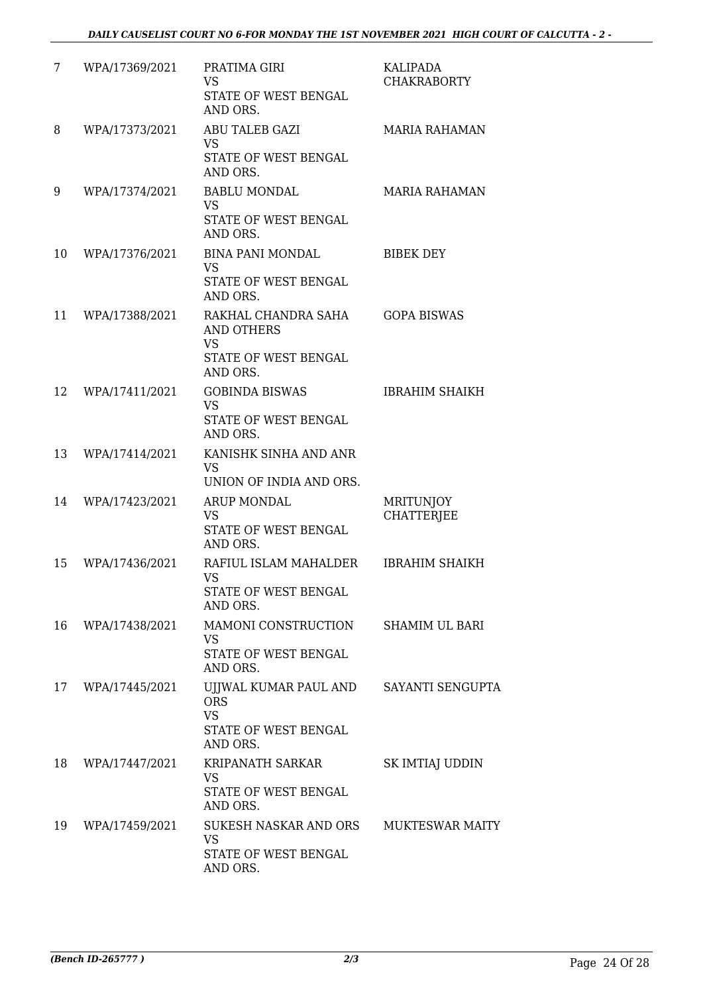| 7  | WPA/17369/2021 | PRATIMA GIRI<br><b>VS</b><br>STATE OF WEST BENGAL<br>AND ORS.                        | <b>KALIPADA</b><br><b>CHAKRABORTY</b> |
|----|----------------|--------------------------------------------------------------------------------------|---------------------------------------|
| 8  | WPA/17373/2021 | <b>ABU TALEB GAZI</b><br>VS<br>STATE OF WEST BENGAL<br>AND ORS.                      | <b>MARIA RAHAMAN</b>                  |
| 9  | WPA/17374/2021 | <b>BABLU MONDAL</b><br>VS<br>STATE OF WEST BENGAL<br>AND ORS.                        | <b>MARIA RAHAMAN</b>                  |
| 10 | WPA/17376/2021 | <b>BINA PANI MONDAL</b><br>VS<br>STATE OF WEST BENGAL<br>AND ORS.                    | <b>BIBEK DEY</b>                      |
| 11 | WPA/17388/2021 | RAKHAL CHANDRA SAHA<br>AND OTHERS<br><b>VS</b><br>STATE OF WEST BENGAL               | <b>GOPA BISWAS</b>                    |
| 12 | WPA/17411/2021 | AND ORS.<br><b>GOBINDA BISWAS</b><br><b>VS</b><br>STATE OF WEST BENGAL<br>AND ORS.   | <b>IBRAHIM SHAIKH</b>                 |
| 13 | WPA/17414/2021 | KANISHK SINHA AND ANR<br><b>VS</b><br>UNION OF INDIA AND ORS.                        |                                       |
| 14 | WPA/17423/2021 | <b>ARUP MONDAL</b><br>VS<br>STATE OF WEST BENGAL<br>AND ORS.                         | MRITUNJOY<br><b>CHATTERJEE</b>        |
| 15 | WPA/17436/2021 | RAFIUL ISLAM MAHALDER<br><b>VS</b><br>STATE OF WEST BENGAL<br>AND ORS.               | <b>IBRAHIM SHAIKH</b>                 |
| 16 | WPA/17438/2021 | MAMONI CONSTRUCTION<br><b>VS</b><br>STATE OF WEST BENGAL<br>AND ORS.                 | <b>SHAMIM UL BARI</b>                 |
| 17 | WPA/17445/2021 | UJJWAL KUMAR PAUL AND<br><b>ORS</b><br><b>VS</b><br>STATE OF WEST BENGAL<br>AND ORS. | SAYANTI SENGUPTA                      |
| 18 | WPA/17447/2021 | KRIPANATH SARKAR<br>VS<br>STATE OF WEST BENGAL<br>AND ORS.                           | SK IMTIAJ UDDIN                       |
| 19 | WPA/17459/2021 | SUKESH NASKAR AND ORS<br>VS<br>STATE OF WEST BENGAL<br>AND ORS.                      | <b>MUKTESWAR MAITY</b>                |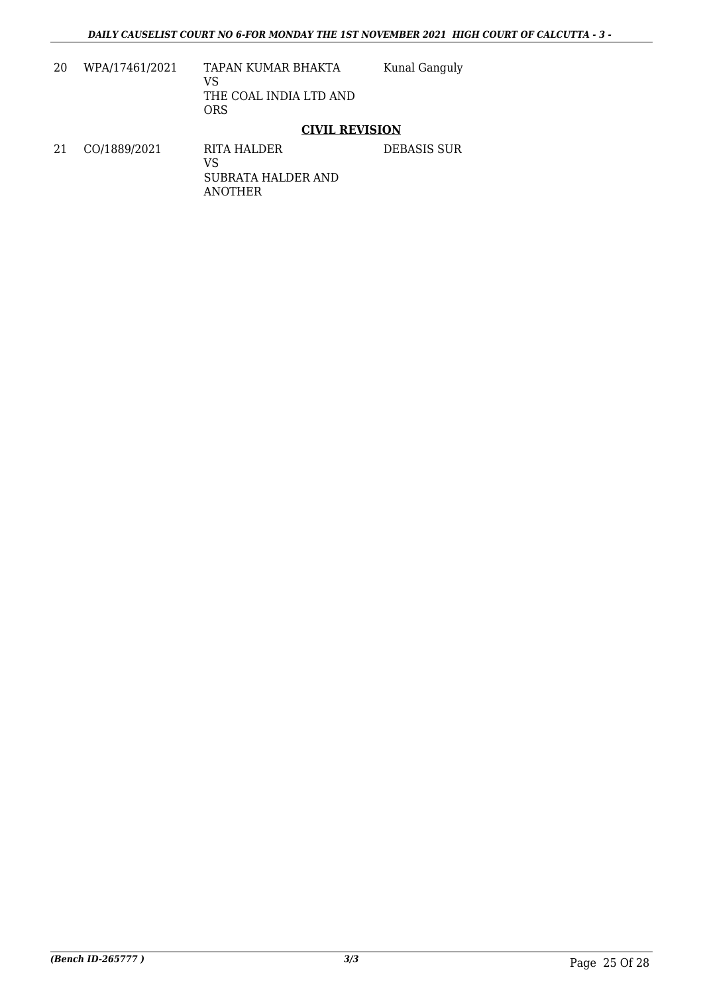| 20 | WPA/17461/2021 | TAPAN KUMAR BHAKTA<br>VS<br>THE COAL INDIA LTD AND<br>ORS | Kunal Ganguly |
|----|----------------|-----------------------------------------------------------|---------------|
|    |                | $\overline{\phantom{a}}$                                  |               |

#### **CIVIL REVISION**

21 CO/1889/2021 RITA HALDER VS SUBRATA HALDER AND ANOTHER DEBASIS SUR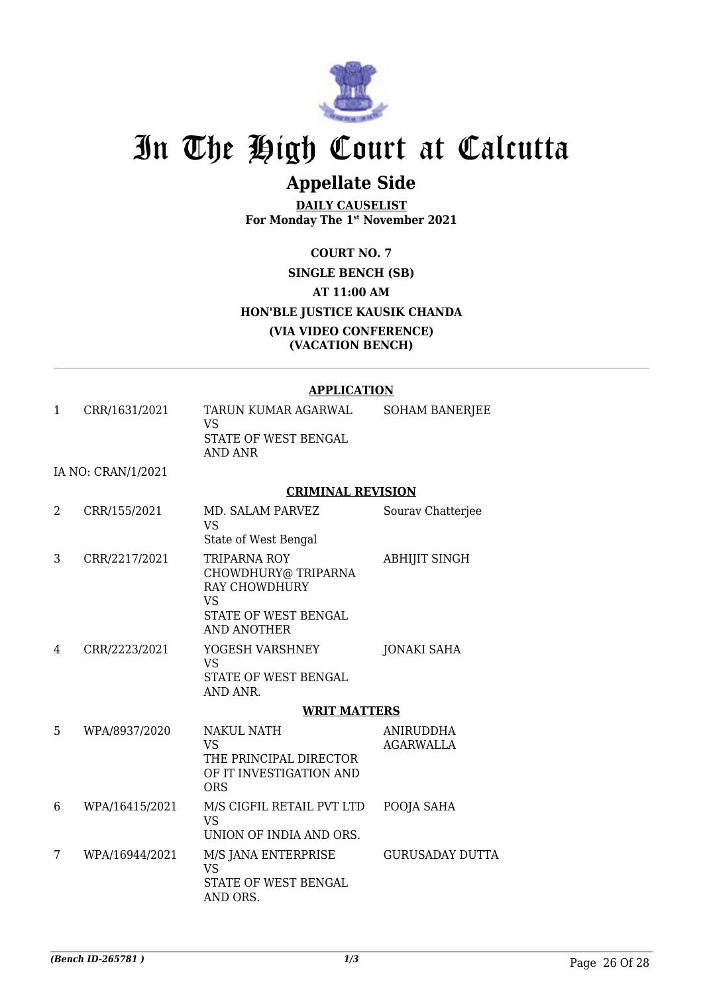

### **Appellate Side**

**DAILY CAUSELIST For Monday The 1st November 2021**

**COURT NO. 7 SINGLE BENCH (SB) AT 11:00 AM HON'BLE JUSTICE KAUSIK CHANDA (VIA VIDEO CONFERENCE) (VACATION BENCH)**

#### **APPLICATION**

1 CRR/1631/2021 TARUN KUMAR AGARWAL VS STATE OF WEST BENGAL AND ANR SOHAM BANERJEE

IA NO: CRAN/1/2021

#### **CRIMINAL REVISION**

| 2 | CRR/155/2021   | MD. SALAM PARVEZ<br>VS<br>State of West Bengal                                                           | Sourav Chatterjee             |
|---|----------------|----------------------------------------------------------------------------------------------------------|-------------------------------|
| 3 | CRR/2217/2021  | TRIPARNA ROY<br>CHOWDHURY@ TRIPARNA<br>RAY CHOWDHURY<br><b>VS</b><br>STATE OF WEST BENGAL<br>AND ANOTHER | <b>ABHIJIT SINGH</b>          |
| 4 | CRR/2223/2021  | YOGESH VARSHNEY<br>VS<br>STATE OF WEST BENGAL<br>AND ANR.                                                | <b>JONAKI SAHA</b>            |
|   |                | <b>WRIT MATTERS</b>                                                                                      |                               |
| 5 | WPA/8937/2020  | <b>NAKUL NATH</b><br><b>VS</b><br>THE PRINCIPAL DIRECTOR<br>OF IT INVESTIGATION AND<br><b>ORS</b>        | ANIRUDDHA<br><b>AGARWALLA</b> |
| 6 | WPA/16415/2021 | M/S CIGFIL RETAIL PVT LTD<br>VS<br>UNION OF INDIA AND ORS.                                               | POOJA SAHA                    |
| 7 | WPA/16944/2021 | M/S JANA ENTERPRISE<br><b>VS</b><br>STATE OF WEST BENGAL<br>AND ORS.                                     | GURUSADAY DUTTA               |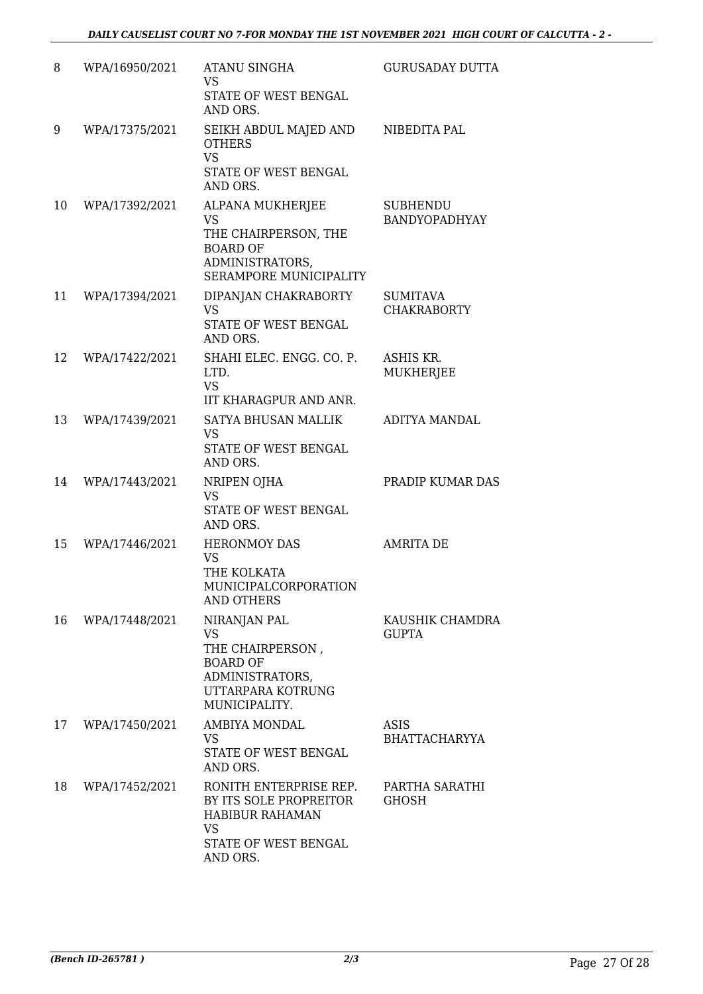| 8  | WPA/16950/2021 | <b>ATANU SINGHA</b><br><b>VS</b><br>STATE OF WEST BENGAL<br>AND ORS.                                                      | <b>GURUSADAY DUTTA</b>                |
|----|----------------|---------------------------------------------------------------------------------------------------------------------------|---------------------------------------|
| 9  | WPA/17375/2021 | SEIKH ABDUL MAJED AND<br><b>OTHERS</b><br><b>VS</b><br>STATE OF WEST BENGAL<br>AND ORS.                                   | NIBEDITA PAL                          |
| 10 | WPA/17392/2021 | ALPANA MUKHERJEE<br><b>VS</b><br>THE CHAIRPERSON, THE<br><b>BOARD OF</b><br>ADMINISTRATORS,<br>SERAMPORE MUNICIPALITY     | <b>SUBHENDU</b><br>BANDYOPADHYAY      |
| 11 | WPA/17394/2021 | DIPANJAN CHAKRABORTY<br><b>VS</b><br>STATE OF WEST BENGAL<br>AND ORS.                                                     | <b>SUMITAVA</b><br><b>CHAKRABORTY</b> |
| 12 | WPA/17422/2021 | SHAHI ELEC. ENGG. CO. P.<br>LTD.<br><b>VS</b><br>IIT KHARAGPUR AND ANR.                                                   | ASHIS KR.<br><b>MUKHERJEE</b>         |
| 13 | WPA/17439/2021 | SATYA BHUSAN MALLIK<br><b>VS</b><br>STATE OF WEST BENGAL<br>AND ORS.                                                      | ADITYA MANDAL                         |
| 14 | WPA/17443/2021 | NRIPEN OJHA<br><b>VS</b><br>STATE OF WEST BENGAL<br>AND ORS.                                                              | PRADIP KUMAR DAS                      |
| 15 | WPA/17446/2021 | <b>HERONMOY DAS</b><br>VS<br>THE KOLKATA<br>MUNICIPALCORPORATION<br><b>AND OTHERS</b>                                     | <b>AMRITA DE</b>                      |
| 16 | WPA/17448/2021 | NIRANJAN PAL<br><b>VS</b><br>THE CHAIRPERSON,<br><b>BOARD OF</b><br>ADMINISTRATORS,<br>UTTARPARA KOTRUNG<br>MUNICIPALITY. | KAUSHIK CHAMDRA<br><b>GUPTA</b>       |
| 17 | WPA/17450/2021 | AMBIYA MONDAL<br>VS<br>STATE OF WEST BENGAL<br>AND ORS.                                                                   | ASIS<br>BHATTACHARYYA                 |
| 18 | WPA/17452/2021 | RONITH ENTERPRISE REP.<br>BY ITS SOLE PROPREITOR<br><b>HABIBUR RAHAMAN</b><br>VS.<br>STATE OF WEST BENGAL<br>AND ORS.     | PARTHA SARATHI<br>GHOSH               |